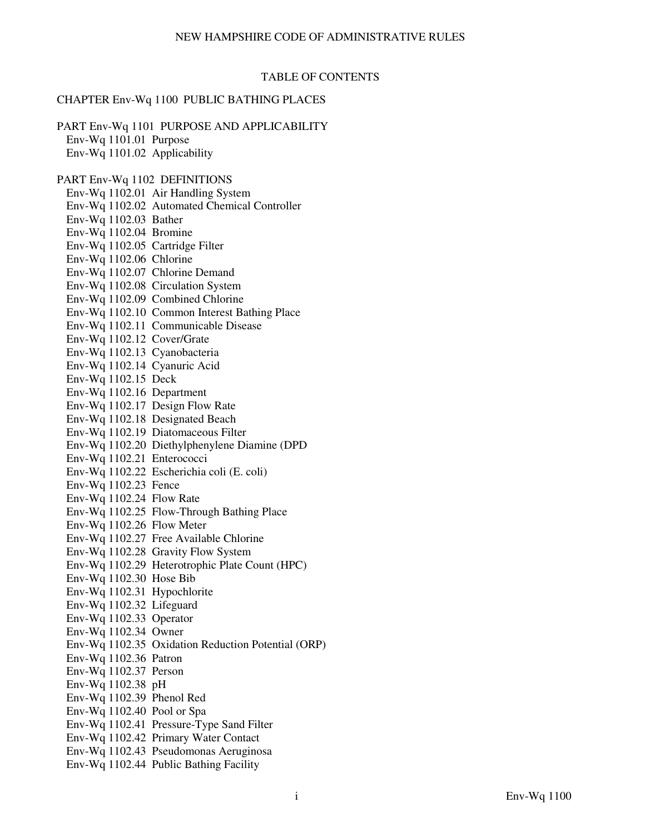### TABLE OF CONTENTS

#### CHAPTER Env-Wq 1100 PUBLIC BATHING PLACES

PART Env-Wq 1101 PURPOSE AND APPLICABILITY Env-Wq 1101.01 Purpose Env-Wq 1101.02 Applicability PART Env-Wq 1102 DEFINITIONS Env-Wq 1102.01 Air Handling System Env-Wq 1102.02 Automated Chemical Controller Env-Wq 1102.03 Bather Env-Wq 1102.04 Bromine Env-Wq 1102.05 Cartridge Filter Env-Wq 1102.06 Chlorine Env-Wq 1102.07 Chlorine Demand Env-Wq 1102.08 Circulation System Env-Wq 1102.09 Combined Chlorine Env-Wq 1102.10 Common Interest Bathing Place Env-Wq 1102.11 Communicable Disease Env-Wq 1102.12 Cover/Grate Env-Wq 1102.13 Cyanobacteria Env-Wq 1102.14 Cyanuric Acid Env-Wq 1102.15 Deck Env-Wq 1102.16 Department Env-Wq 1102.17 Design Flow Rate Env-Wq 1102.18 Designated Beach Env-Wq 1102.19 Diatomaceous Filter Env-Wq 1102.20 Diethylphenylene Diamine (DPD Env-Wq 1102.21 Enterococci Env-Wq 1102.22 Escherichia coli (E. coli) Env-Wq 1102.23 Fence Env-Wq 1102.24 Flow Rate Env-Wq 1102.25 Flow-Through Bathing Place Env-Wq 1102.26 Flow Meter Env-Wq 1102.27 Free Available Chlorine Env-Wq 1102.28 Gravity Flow System Env-Wq 1102.29 Heterotrophic Plate Count (HPC) Env-Wq 1102.30 Hose Bib Env-Wq 1102.31 Hypochlorite Env-Wq 1102.32 Lifeguard Env-Wq 1102.33 Operator Env-Wq 1102.34 Owner Env-Wq 1102.35 Oxidation Reduction Potential (ORP) Env-Wq 1102.36 Patron Env-Wq 1102.37 Person Env-Wq 1102.38 pH Env-Wq 1102.39 Phenol Red Env-Wq 1102.40 Pool or Spa Env-Wq 1102.41 Pressure-Type Sand Filter Env-Wq 1102.42 Primary Water Contact Env-Wq 1102.43 Pseudomonas Aeruginosa Env-Wq 1102.44 Public Bathing Facility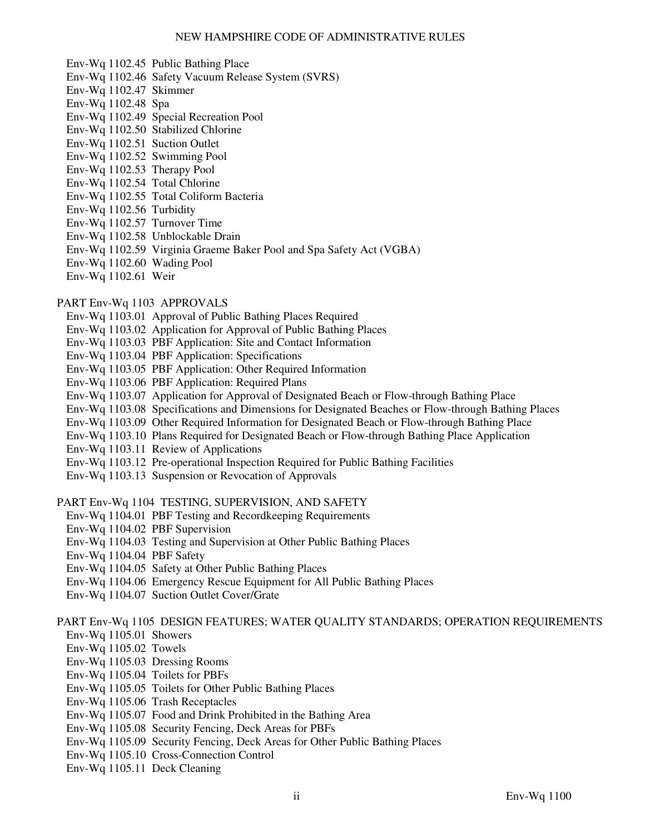- Env-Wq 1102.45 Public Bathing Place
- Env-Wq 1102.46 Safety Vacuum Release System (SVRS)
- Env-Wq 1102.47 Skimmer
- Env-Wq 1102.48 Spa
- Env-Wq 1102.49 Special Recreation Pool
- Env-Wq 1102.50 Stabilized Chlorine
- Env-Wq 1102.51 Suction Outlet
- Env-Wq 1102.52 Swimming Pool
- Env-Wq 1102.53 Therapy Pool
- Env-Wq 1102.54 Total Chlorine
- Env-Wq 1102.55 Total Coliform Bacteria
- Env-Wq 1102.56 Turbidity
- Env-Wq 1102.57 Turnover Time
- Env-Wq 1102.58 Unblockable Drain
- Env-Wq 1102.59 Virginia Graeme Baker Pool and Spa Safety Act (VGBA)
- Env-Wq 1102.60 Wading Pool
- Env-Wq 1102.61 Weir

#### PART Env-Wq 1103 APPROVALS

- Env-Wq 1103.01 Approval of Public Bathing Places Required
- Env-Wq 1103.02 Application for Approval of Public Bathing Places
- Env-Wq 1103.03 PBF Application: Site and Contact Information
- Env-Wq 1103.04 PBF Application: Specifications
- Env-Wq 1103.05 PBF Application: Other Required Information
- Env-Wq 1103.06 PBF Application: Required Plans
- Env-Wq 1103.07 Application for Approval of Designated Beach or Flow-through Bathing Place
- Env-Wq 1103.08 Specifications and Dimensions for Designated Beaches or Flow-through Bathing Places
- Env-Wq 1103.09 Other Required Information for Designated Beach or Flow-through Bathing Place
- Env-Wq 1103.10 Plans Required for Designated Beach or Flow-through Bathing Place Application
- Env-Wq 1103.11 Review of Applications
- Env-Wq 1103.12 Pre-operational Inspection Required for Public Bathing Facilities
- Env-Wq 1103.13 Suspension or Revocation of Approvals
- PART Env-Wq 1104 TESTING, SUPERVISION, AND SAFETY
	- Env-Wq 1104.01 PBF Testing and Recordkeeping Requirements
	- Env-Wq 1104.02 PBF Supervision
	- Env-Wq 1104.03 Testing and Supervision at Other Public Bathing Places
	- Env-Wq 1104.04 PBF Safety
	- Env-Wq 1104.05 Safety at Other Public Bathing Places
	- Env-Wq 1104.06 Emergency Rescue Equipment for All Public Bathing Places
	- Env-Wq 1104.07 Suction Outlet Cover/Grate

PART Env-Wq 1105 DESIGN FEATURES; WATER QUALITY STANDARDS; OPERATION REQUIREMENTS

- Env-Wq 1105.01 Showers
- Env-Wq 1105.02 Towels
- Env-Wq 1105.03 Dressing Rooms
- Env-Wq 1105.04 Toilets for PBFs
- Env-Wq 1105.05 Toilets for Other Public Bathing Places
- Env-Wq 1105.06 Trash Receptacles
- Env-Wq 1105.07 Food and Drink Prohibited in the Bathing Area
- Env-Wq 1105.08 Security Fencing, Deck Areas for PBFs
- Env-Wq 1105.09 Security Fencing, Deck Areas for Other Public Bathing Places
- Env-Wq 1105.10 Cross-Connection Control
- Env-Wq 1105.11 Deck Cleaning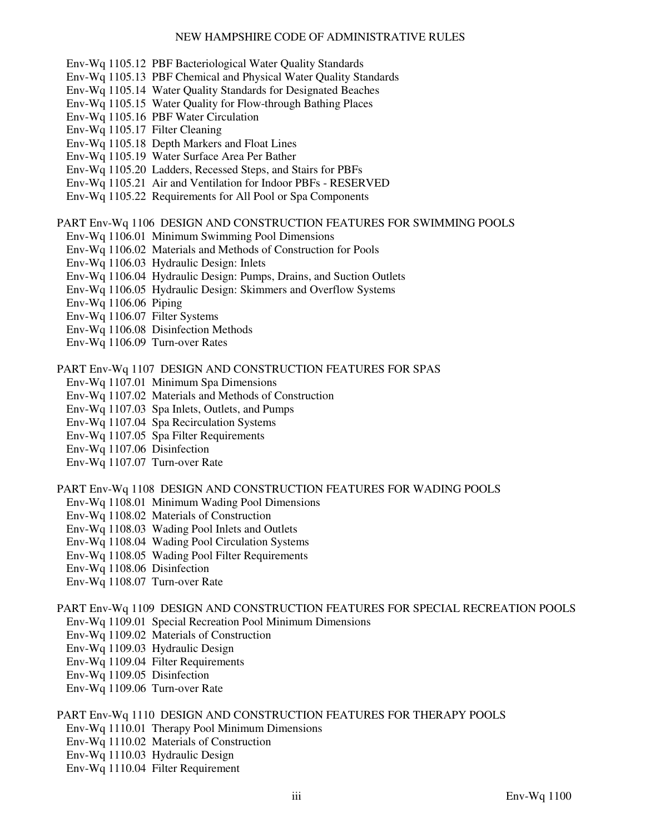- Env-Wq 1105.12 PBF Bacteriological Water Quality Standards
- Env-Wq 1105.13 PBF Chemical and Physical Water Quality Standards
- Env-Wq 1105.14 Water Quality Standards for Designated Beaches
- Env-Wq 1105.15 Water Quality for Flow-through Bathing Places
- Env-Wq 1105.16 PBF Water Circulation
- Env-Wq 1105.17 Filter Cleaning
- Env-Wq 1105.18 Depth Markers and Float Lines
- Env-Wq 1105.19 Water Surface Area Per Bather
- Env-Wq 1105.20 Ladders, Recessed Steps, and Stairs for PBFs
- Env-Wq 1105.21 Air and Ventilation for Indoor PBFs RESERVED
- Env-Wq 1105.22 Requirements for All Pool or Spa Components

PART Env-Wq 1106 DESIGN AND CONSTRUCTION FEATURES FOR SWIMMING POOLS

- Env-Wq 1106.01 Minimum Swimming Pool Dimensions
- Env-Wq 1106.02 Materials and Methods of Construction for Pools
- Env-Wq 1106.03 Hydraulic Design: Inlets
- Env-Wq 1106.04 Hydraulic Design: Pumps, Drains, and Suction Outlets
- Env-Wq 1106.05 Hydraulic Design: Skimmers and Overflow Systems
- Env-Wq 1106.06 Piping
- Env-Wq 1106.07 Filter Systems
- Env-Wq 1106.08 Disinfection Methods
- Env-Wq 1106.09 Turn-over Rates

PART Env-Wq 1107 DESIGN AND CONSTRUCTION FEATURES FOR SPAS

- Env-Wq 1107.01 Minimum Spa Dimensions
- Env-Wq 1107.02 Materials and Methods of Construction
- Env-Wq 1107.03 Spa Inlets, Outlets, and Pumps
- Env-Wq 1107.04 Spa Recirculation Systems
- Env-Wq 1107.05 Spa Filter Requirements
- Env-Wq 1107.06 Disinfection
- Env-Wq 1107.07 Turn-over Rate

PART Env-Wq 1108 DESIGN AND CONSTRUCTION FEATURES FOR WADING POOLS

- Env-Wq 1108.01 Minimum Wading Pool Dimensions
- Env-Wq 1108.02 Materials of Construction
- Env-Wq 1108.03 Wading Pool Inlets and Outlets
- Env-Wq 1108.04 Wading Pool Circulation Systems
- Env-Wq 1108.05 Wading Pool Filter Requirements
- Env-Wq 1108.06 Disinfection
- Env-Wq 1108.07 Turn-over Rate

PART Env-Wq 1109 DESIGN AND CONSTRUCTION FEATURES FOR SPECIAL RECREATION POOLS Env-Wq 1109.01 Special Recreation Pool Minimum Dimensions

- Env-Wq 1109.02 Materials of Construction
- Env-Wq 1109.03 Hydraulic Design
- Env-Wq 1109.04 Filter Requirements
- Env-Wq 1109.05 Disinfection
- Env-Wq 1109.06 Turn-over Rate

PART Env-Wq 1110 DESIGN AND CONSTRUCTION FEATURES FOR THERAPY POOLS

- Env-Wq 1110.01 Therapy Pool Minimum Dimensions
- Env-Wq 1110.02 Materials of Construction
- Env-Wq 1110.03 Hydraulic Design
- Env-Wq 1110.04 Filter Requirement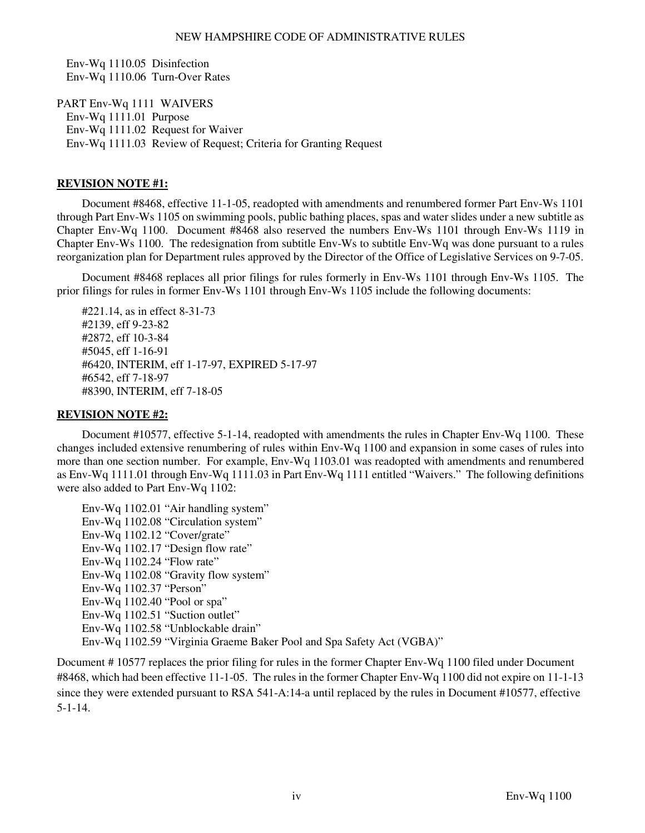Env-Wq 1110.05 Disinfection Env-Wq 1110.06 Turn-Over Rates

PART Env-Wq 1111 WAIVERS Env-Wq 1111.01 Purpose Env-Wq 1111.02 Request for Waiver Env-Wq 1111.03 Review of Request; Criteria for Granting Request

# **REVISION NOTE #1:**

 Document #8468, effective 11-1-05, readopted with amendments and renumbered former Part Env-Ws 1101 through Part Env-Ws 1105 on swimming pools, public bathing places, spas and water slides under a new subtitle as Chapter Env-Wq 1100. Document #8468 also reserved the numbers Env-Ws 1101 through Env-Ws 1119 in Chapter Env-Ws 1100. The redesignation from subtitle Env-Ws to subtitle Env-Wq was done pursuant to a rules reorganization plan for Department rules approved by the Director of the Office of Legislative Services on 9-7-05.

 Document #8468 replaces all prior filings for rules formerly in Env-Ws 1101 through Env-Ws 1105. The prior filings for rules in former Env-Ws 1101 through Env-Ws 1105 include the following documents:

 #221.14, as in effect 8-31-73 #2139, eff 9-23-82 #2872, eff 10-3-84 #5045, eff 1-16-91 #6420, INTERIM, eff 1-17-97, EXPIRED 5-17-97 #6542, eff 7-18-97 #8390, INTERIM, eff 7-18-05

# **REVISION NOTE #2:**

 Document #10577, effective 5-1-14, readopted with amendments the rules in Chapter Env-Wq 1100. These changes included extensive renumbering of rules within Env-Wq 1100 and expansion in some cases of rules into more than one section number. For example, Env-Wq 1103.01 was readopted with amendments and renumbered as Env-Wq 1111.01 through Env-Wq 1111.03 in Part Env-Wq 1111 entitled "Waivers." The following definitions were also added to Part Env-Wq 1102:

 Env-Wq 1102.01 "Air handling system" Env-Wq 1102.08 "Circulation system" Env-Wq 1102.12 "Cover/grate" Env-Wq 1102.17 "Design flow rate" Env-Wq 1102.24 "Flow rate" Env-Wq 1102.08 "Gravity flow system" Env-Wq 1102.37 "Person" Env-Wq 1102.40 "Pool or spa" Env-Wq 1102.51 "Suction outlet" Env-Wq 1102.58 "Unblockable drain" Env-Wq 1102.59 "Virginia Graeme Baker Pool and Spa Safety Act (VGBA)"

Document # 10577 replaces the prior filing for rules in the former Chapter Env-Wq 1100 filed under Document #8468, which had been effective 11-1-05. The rules in the former Chapter Env-Wq 1100 did not expire on 11-1-13 since they were extended pursuant to RSA 541-A:14-a until replaced by the rules in Document #10577, effective 5-1-14.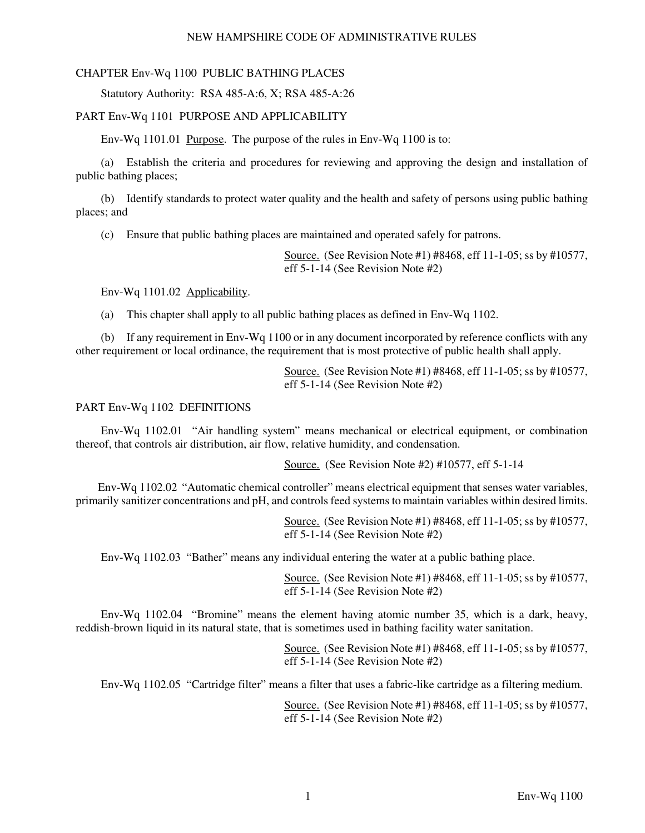# CHAPTER Env-Wq 1100 PUBLIC BATHING PLACES

Statutory Authority: RSA 485-A:6, X; RSA 485-A:26

### PART Env-Wq 1101 PURPOSE AND APPLICABILITY

Env-Wq 1101.01 Purpose. The purpose of the rules in Env-Wq 1100 is to:

 (a) Establish the criteria and procedures for reviewing and approving the design and installation of public bathing places;

 (b) Identify standards to protect water quality and the health and safety of persons using public bathing places; and

(c) Ensure that public bathing places are maintained and operated safely for patrons.

Source. (See Revision Note #1) #8468, eff 11-1-05; ss by #10577, eff 5-1-14 (See Revision Note #2)

Env-Wq 1101.02 Applicability.

(a) This chapter shall apply to all public bathing places as defined in Env-Wq 1102.

 (b) If any requirement in Env-Wq 1100 or in any document incorporated by reference conflicts with any other requirement or local ordinance, the requirement that is most protective of public health shall apply.

> Source. (See Revision Note #1) #8468, eff 11-1-05; ss by #10577, eff 5-1-14 (See Revision Note #2)

### PART Env-Wq 1102 DEFINITIONS

 Env-Wq 1102.01 "Air handling system" means mechanical or electrical equipment, or combination thereof, that controls air distribution, air flow, relative humidity, and condensation.

Source. (See Revision Note #2) #10577, eff 5-1-14

 Env-Wq 1102.02 "Automatic chemical controller" means electrical equipment that senses water variables, primarily sanitizer concentrations and pH, and controls feed systems to maintain variables within desired limits.

> Source. (See Revision Note #1) #8468, eff 11-1-05; ss by #10577, eff 5-1-14 (See Revision Note #2)

Env-Wq 1102.03 "Bather" means any individual entering the water at a public bathing place.

Source. (See Revision Note #1) #8468, eff 11-1-05; ss by #10577, eff 5-1-14 (See Revision Note #2)

 Env-Wq 1102.04 "Bromine" means the element having atomic number 35, which is a dark, heavy, reddish-brown liquid in its natural state, that is sometimes used in bathing facility water sanitation.

> Source. (See Revision Note #1) #8468, eff 11-1-05; ss by #10577, eff 5-1-14 (See Revision Note #2)

Env-Wq 1102.05 "Cartridge filter" means a filter that uses a fabric-like cartridge as a filtering medium.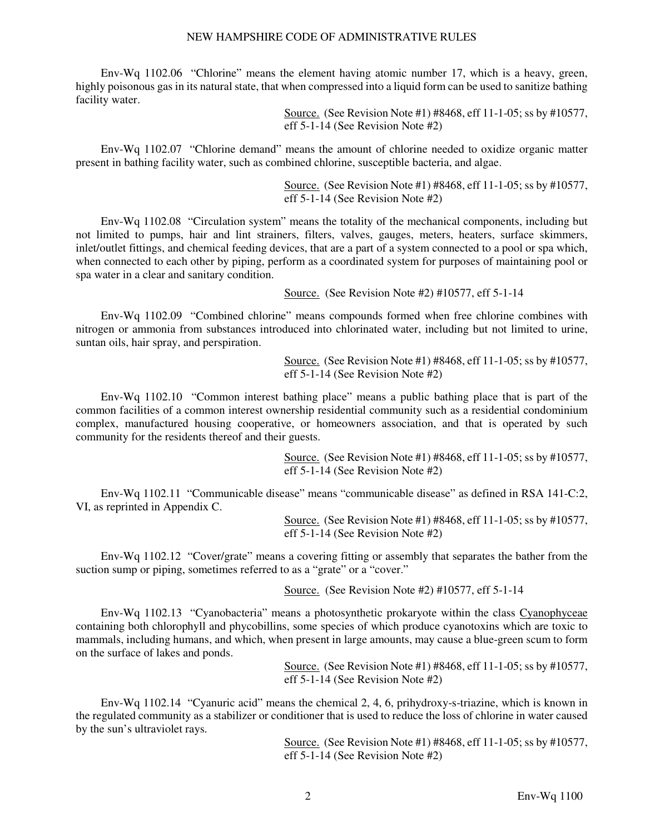Env-Wq 1102.06 "Chlorine" means the element having atomic number 17, which is a heavy, green, highly poisonous gas in its natural state, that when compressed into a liquid form can be used to sanitize bathing facility water.

> Source. (See Revision Note #1) #8468, eff 11-1-05; ss by #10577, eff 5-1-14 (See Revision Note #2)

 Env-Wq 1102.07 "Chlorine demand" means the amount of chlorine needed to oxidize organic matter present in bathing facility water, such as combined chlorine, susceptible bacteria, and algae.

> Source. (See Revision Note #1) #8468, eff 11-1-05; ss by #10577, eff 5-1-14 (See Revision Note #2)

 Env-Wq 1102.08 "Circulation system" means the totality of the mechanical components, including but not limited to pumps, hair and lint strainers, filters, valves, gauges, meters, heaters, surface skimmers, inlet/outlet fittings, and chemical feeding devices, that are a part of a system connected to a pool or spa which, when connected to each other by piping, perform as a coordinated system for purposes of maintaining pool or spa water in a clear and sanitary condition.

Source. (See Revision Note #2) #10577, eff 5-1-14

 Env-Wq 1102.09 "Combined chlorine" means compounds formed when free chlorine combines with nitrogen or ammonia from substances introduced into chlorinated water, including but not limited to urine, suntan oils, hair spray, and perspiration.

> Source. (See Revision Note #1) #8468, eff 11-1-05; ss by #10577, eff 5-1-14 (See Revision Note #2)

 Env-Wq 1102.10 "Common interest bathing place" means a public bathing place that is part of the common facilities of a common interest ownership residential community such as a residential condominium complex, manufactured housing cooperative, or homeowners association, and that is operated by such community for the residents thereof and their guests.

> Source. (See Revision Note #1) #8468, eff 11-1-05; ss by #10577, eff 5-1-14 (See Revision Note #2)

 Env-Wq 1102.11 "Communicable disease" means "communicable disease" as defined in RSA 141-C:2, VI, as reprinted in Appendix C.

> Source. (See Revision Note #1) #8468, eff 11-1-05; ss by #10577, eff 5-1-14 (See Revision Note #2)

 Env-Wq 1102.12 "Cover/grate" means a covering fitting or assembly that separates the bather from the suction sump or piping, sometimes referred to as a "grate" or a "cover."

Source. (See Revision Note #2) #10577, eff 5-1-14

Env-Wq 1102.13 "Cyanobacteria" means a photosynthetic prokaryote within the class Cyanophyceae containing both chlorophyll and phycobillins, some species of which produce cyanotoxins which are toxic to mammals, including humans, and which, when present in large amounts, may cause a blue-green scum to form on the surface of lakes and ponds.

> Source. (See Revision Note #1) #8468, eff 11-1-05; ss by #10577, eff 5-1-14 (See Revision Note #2)

 Env-Wq 1102.14 "Cyanuric acid" means the chemical 2, 4, 6, prihydroxy-s-triazine, which is known in the regulated community as a stabilizer or conditioner that is used to reduce the loss of chlorine in water caused by the sun's ultraviolet rays.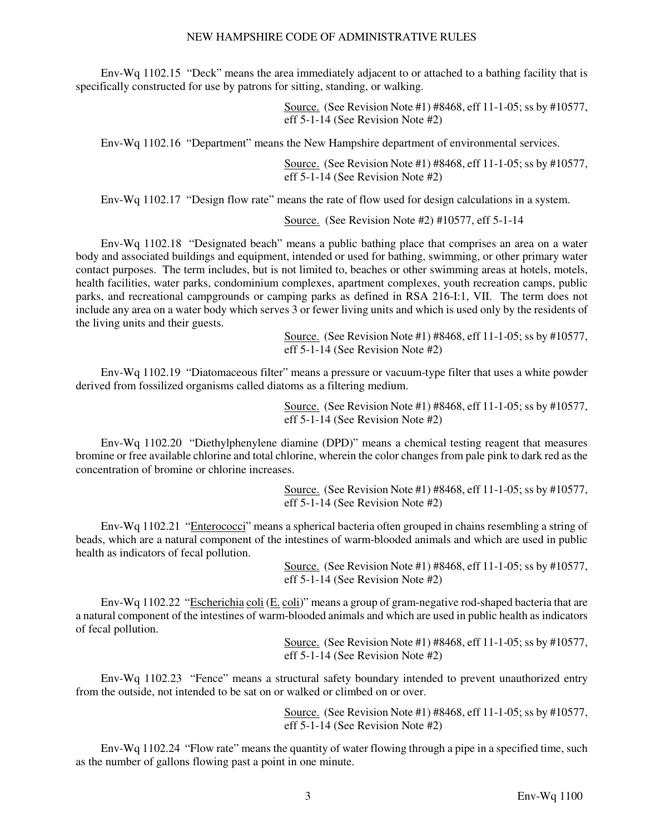Env-Wq 1102.15 "Deck" means the area immediately adjacent to or attached to a bathing facility that is specifically constructed for use by patrons for sitting, standing, or walking.

> Source. (See Revision Note #1) #8468, eff 11-1-05; ss by #10577, eff 5-1-14 (See Revision Note #2)

Env-Wq 1102.16 "Department" means the New Hampshire department of environmental services.

Source. (See Revision Note #1) #8468, eff 11-1-05; ss by #10577, eff 5-1-14 (See Revision Note #2)

Env-Wq 1102.17 "Design flow rate" means the rate of flow used for design calculations in a system.

Source. (See Revision Note #2) #10577, eff 5-1-14

 Env-Wq 1102.18 "Designated beach" means a public bathing place that comprises an area on a water body and associated buildings and equipment, intended or used for bathing, swimming, or other primary water contact purposes. The term includes, but is not limited to, beaches or other swimming areas at hotels, motels, health facilities, water parks, condominium complexes, apartment complexes, youth recreation camps, public parks, and recreational campgrounds or camping parks as defined in RSA 216-I:1, VII. The term does not include any area on a water body which serves 3 or fewer living units and which is used only by the residents of the living units and their guests.

> Source. (See Revision Note #1) #8468, eff 11-1-05; ss by #10577, eff 5-1-14 (See Revision Note #2)

 Env-Wq 1102.19 "Diatomaceous filter" means a pressure or vacuum-type filter that uses a white powder derived from fossilized organisms called diatoms as a filtering medium.

> Source. (See Revision Note #1) #8468, eff 11-1-05; ss by #10577, eff 5-1-14 (See Revision Note #2)

 Env-Wq 1102.20 "Diethylphenylene diamine (DPD)" means a chemical testing reagent that measures bromine or free available chlorine and total chlorine, wherein the color changes from pale pink to dark red as the concentration of bromine or chlorine increases.

> Source. (See Revision Note #1) #8468, eff 11-1-05; ss by #10577, eff 5-1-14 (See Revision Note #2)

Env-Wq 1102.21 "Enterococci" means a spherical bacteria often grouped in chains resembling a string of beads, which are a natural component of the intestines of warm-blooded animals and which are used in public health as indicators of fecal pollution.

> Source. (See Revision Note #1) #8468, eff 11-1-05; ss by #10577, eff 5-1-14 (See Revision Note #2)

Env-Wq 1102.22 "Escherichia coli (E. coli)" means a group of gram-negative rod-shaped bacteria that are a natural component of the intestines of warm-blooded animals and which are used in public health as indicators of fecal pollution.

> Source. (See Revision Note #1) #8468, eff 11-1-05; ss by #10577, eff 5-1-14 (See Revision Note #2)

 Env-Wq 1102.23 "Fence" means a structural safety boundary intended to prevent unauthorized entry from the outside, not intended to be sat on or walked or climbed on or over.

> Source. (See Revision Note #1) #8468, eff 11-1-05; ss by #10577, eff 5-1-14 (See Revision Note #2)

 Env-Wq 1102.24 "Flow rate" means the quantity of water flowing through a pipe in a specified time, such as the number of gallons flowing past a point in one minute.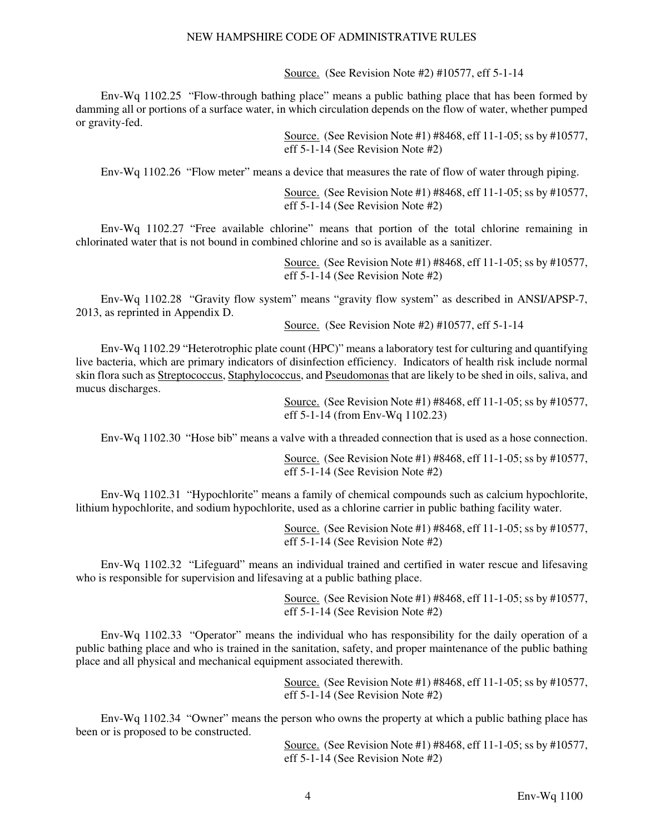Source. (See Revision Note #2) #10577, eff 5-1-14

 Env-Wq 1102.25 "Flow-through bathing place" means a public bathing place that has been formed by damming all or portions of a surface water, in which circulation depends on the flow of water, whether pumped or gravity-fed.

> Source. (See Revision Note #1) #8468, eff 11-1-05; ss by #10577, eff 5-1-14 (See Revision Note #2)

Env-Wq 1102.26 "Flow meter" means a device that measures the rate of flow of water through piping.

Source. (See Revision Note #1) #8468, eff 11-1-05; ss by #10577, eff 5-1-14 (See Revision Note #2)

 Env-Wq 1102.27 "Free available chlorine" means that portion of the total chlorine remaining in chlorinated water that is not bound in combined chlorine and so is available as a sanitizer.

> Source. (See Revision Note #1) #8468, eff 11-1-05; ss by #10577, eff 5-1-14 (See Revision Note #2)

 Env-Wq 1102.28 "Gravity flow system" means "gravity flow system" as described in ANSI/APSP-7, 2013, as reprinted in Appendix D.

Source. (See Revision Note #2) #10577, eff 5-1-14

 Env-Wq 1102.29 "Heterotrophic plate count (HPC)" means a laboratory test for culturing and quantifying live bacteria, which are primary indicators of disinfection efficiency. Indicators of health risk include normal skin flora such as Streptococcus, Staphylococcus, and Pseudomonas that are likely to be shed in oils, saliva, and mucus discharges.

> Source. (See Revision Note #1) #8468, eff 11-1-05; ss by #10577, eff 5-1-14 (from Env-Wq 1102.23)

Env-Wq 1102.30 "Hose bib" means a valve with a threaded connection that is used as a hose connection.

Source. (See Revision Note #1) #8468, eff 11-1-05; ss by #10577, eff 5-1-14 (See Revision Note #2)

 Env-Wq 1102.31 "Hypochlorite" means a family of chemical compounds such as calcium hypochlorite, lithium hypochlorite, and sodium hypochlorite, used as a chlorine carrier in public bathing facility water.

> Source. (See Revision Note #1) #8468, eff 11-1-05; ss by #10577, eff 5-1-14 (See Revision Note #2)

 Env-Wq 1102.32 "Lifeguard" means an individual trained and certified in water rescue and lifesaving who is responsible for supervision and lifesaving at a public bathing place.

> Source. (See Revision Note #1) #8468, eff 11-1-05; ss by #10577, eff 5-1-14 (See Revision Note #2)

 Env-Wq 1102.33 "Operator" means the individual who has responsibility for the daily operation of a public bathing place and who is trained in the sanitation, safety, and proper maintenance of the public bathing place and all physical and mechanical equipment associated therewith.

> Source. (See Revision Note #1) #8468, eff 11-1-05; ss by #10577, eff 5-1-14 (See Revision Note #2)

 Env-Wq 1102.34 "Owner" means the person who owns the property at which a public bathing place has been or is proposed to be constructed.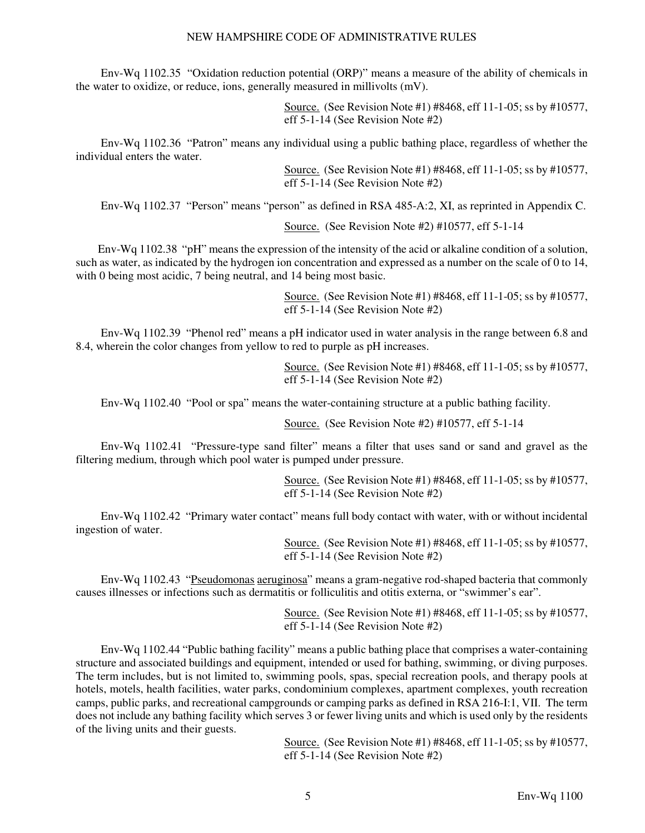Env-Wq 1102.35 "Oxidation reduction potential (ORP)" means a measure of the ability of chemicals in the water to oxidize, or reduce, ions, generally measured in millivolts (mV).

> Source. (See Revision Note #1) #8468, eff 11-1-05; ss by #10577, eff 5-1-14 (See Revision Note #2)

 Env-Wq 1102.36 "Patron" means any individual using a public bathing place, regardless of whether the individual enters the water.

> Source. (See Revision Note #1) #8468, eff 11-1-05; ss by #10577, eff 5-1-14 (See Revision Note #2)

Env-Wq 1102.37 "Person" means "person" as defined in RSA 485-A:2, XI, as reprinted in Appendix C.

Source. (See Revision Note #2) #10577, eff 5-1-14

 Env-Wq 1102.38 "pH" means the expression of the intensity of the acid or alkaline condition of a solution, such as water, as indicated by the hydrogen ion concentration and expressed as a number on the scale of 0 to 14, with 0 being most acidic, 7 being neutral, and 14 being most basic.

> Source. (See Revision Note #1) #8468, eff 11-1-05; ss by #10577, eff 5-1-14 (See Revision Note #2)

 Env-Wq 1102.39 "Phenol red" means a pH indicator used in water analysis in the range between 6.8 and 8.4, wherein the color changes from yellow to red to purple as pH increases.

> Source. (See Revision Note #1) #8468, eff 11-1-05; ss by #10577, eff 5-1-14 (See Revision Note #2)

Env-Wq 1102.40 "Pool or spa" means the water-containing structure at a public bathing facility.

Source. (See Revision Note #2) #10577, eff 5-1-14

 Env-Wq 1102.41 "Pressure-type sand filter" means a filter that uses sand or sand and gravel as the filtering medium, through which pool water is pumped under pressure.

> Source. (See Revision Note #1) #8468, eff 11-1-05; ss by #10577, eff 5-1-14 (See Revision Note #2)

 Env-Wq 1102.42 "Primary water contact" means full body contact with water, with or without incidental ingestion of water.

> Source. (See Revision Note #1) #8468, eff 11-1-05; ss by #10577, eff 5-1-14 (See Revision Note #2)

 Env-Wq 1102.43 "Pseudomonas aeruginosa" means a gram-negative rod-shaped bacteria that commonly causes illnesses or infections such as dermatitis or folliculitis and otitis externa, or "swimmer's ear".

> Source. (See Revision Note #1) #8468, eff 11-1-05; ss by #10577, eff 5-1-14 (See Revision Note #2)

 Env-Wq 1102.44 "Public bathing facility" means a public bathing place that comprises a water-containing structure and associated buildings and equipment, intended or used for bathing, swimming, or diving purposes. The term includes, but is not limited to, swimming pools, spas, special recreation pools, and therapy pools at hotels, motels, health facilities, water parks, condominium complexes, apartment complexes, youth recreation camps, public parks, and recreational campgrounds or camping parks as defined in RSA 216-I:1, VII. The term does not include any bathing facility which serves 3 or fewer living units and which is used only by the residents of the living units and their guests.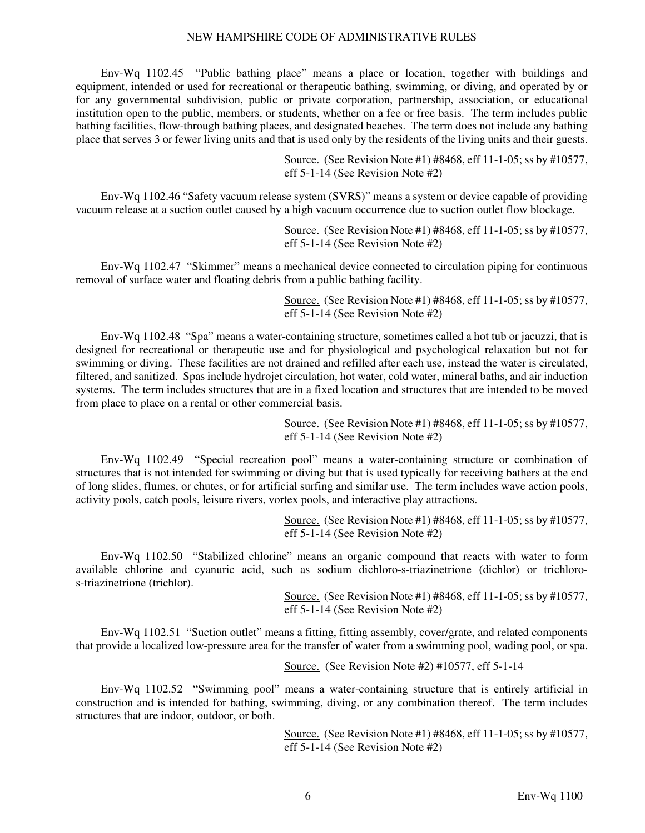Env-Wq 1102.45 "Public bathing place" means a place or location, together with buildings and equipment, intended or used for recreational or therapeutic bathing, swimming, or diving, and operated by or for any governmental subdivision, public or private corporation, partnership, association, or educational institution open to the public, members, or students, whether on a fee or free basis. The term includes public bathing facilities, flow-through bathing places, and designated beaches. The term does not include any bathing place that serves 3 or fewer living units and that is used only by the residents of the living units and their guests.

> Source. (See Revision Note #1) #8468, eff 11-1-05; ss by #10577, eff 5-1-14 (See Revision Note #2)

 Env-Wq 1102.46 "Safety vacuum release system (SVRS)" means a system or device capable of providing vacuum release at a suction outlet caused by a high vacuum occurrence due to suction outlet flow blockage.

> Source. (See Revision Note #1) #8468, eff 11-1-05; ss by #10577, eff 5-1-14 (See Revision Note #2)

 Env-Wq 1102.47 "Skimmer" means a mechanical device connected to circulation piping for continuous removal of surface water and floating debris from a public bathing facility.

> Source. (See Revision Note #1) #8468, eff 11-1-05; ss by #10577, eff 5-1-14 (See Revision Note #2)

 Env-Wq 1102.48 "Spa" means a water-containing structure, sometimes called a hot tub or jacuzzi, that is designed for recreational or therapeutic use and for physiological and psychological relaxation but not for swimming or diving. These facilities are not drained and refilled after each use, instead the water is circulated, filtered, and sanitized. Spas include hydrojet circulation, hot water, cold water, mineral baths, and air induction systems. The term includes structures that are in a fixed location and structures that are intended to be moved from place to place on a rental or other commercial basis.

> Source. (See Revision Note #1) #8468, eff 11-1-05; ss by #10577, eff 5-1-14 (See Revision Note #2)

 Env-Wq 1102.49 "Special recreation pool" means a water-containing structure or combination of structures that is not intended for swimming or diving but that is used typically for receiving bathers at the end of long slides, flumes, or chutes, or for artificial surfing and similar use. The term includes wave action pools, activity pools, catch pools, leisure rivers, vortex pools, and interactive play attractions.

> Source. (See Revision Note #1) #8468, eff 11-1-05; ss by #10577, eff 5-1-14 (See Revision Note #2)

 Env-Wq 1102.50 "Stabilized chlorine" means an organic compound that reacts with water to form available chlorine and cyanuric acid, such as sodium dichloro-s-triazinetrione (dichlor) or trichloros-triazinetrione (trichlor).

> Source. (See Revision Note #1) #8468, eff 11-1-05; ss by #10577, eff 5-1-14 (See Revision Note #2)

 Env-Wq 1102.51 "Suction outlet" means a fitting, fitting assembly, cover/grate, and related components that provide a localized low-pressure area for the transfer of water from a swimming pool, wading pool, or spa.

Source. (See Revision Note #2) #10577, eff 5-1-14

 Env-Wq 1102.52 "Swimming pool" means a water-containing structure that is entirely artificial in construction and is intended for bathing, swimming, diving, or any combination thereof. The term includes structures that are indoor, outdoor, or both.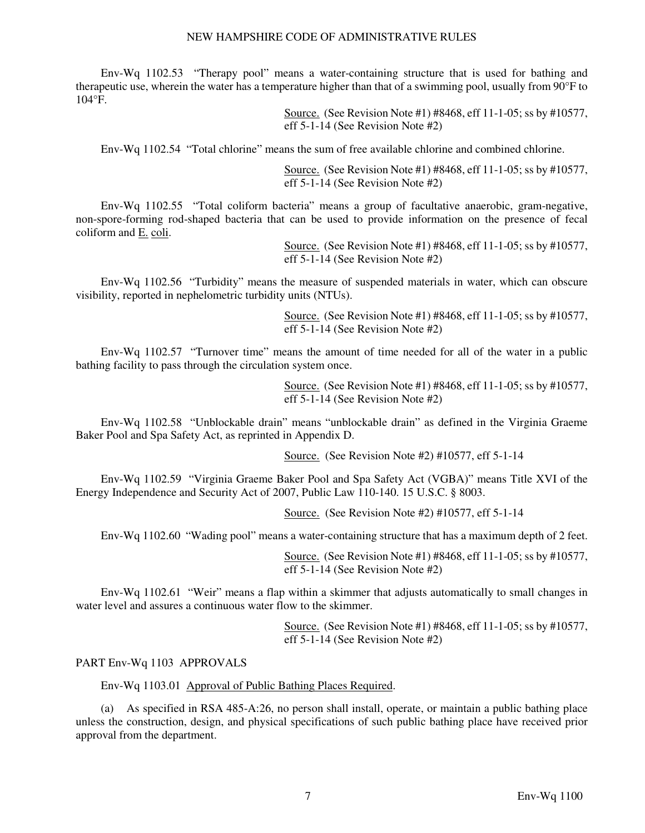Env-Wq 1102.53 "Therapy pool" means a water-containing structure that is used for bathing and therapeutic use, wherein the water has a temperature higher than that of a swimming pool, usually from 90°F to 104°F.

> Source. (See Revision Note #1) #8468, eff 11-1-05; ss by #10577, eff 5-1-14 (See Revision Note #2)

Env-Wq 1102.54 "Total chlorine" means the sum of free available chlorine and combined chlorine.

Source. (See Revision Note #1) #8468, eff 11-1-05; ss by #10577, eff 5-1-14 (See Revision Note #2)

 Env-Wq 1102.55 "Total coliform bacteria" means a group of facultative anaerobic, gram-negative, non-spore-forming rod-shaped bacteria that can be used to provide information on the presence of fecal coliform and E. coli.

> Source. (See Revision Note #1) #8468, eff 11-1-05; ss by #10577, eff 5-1-14 (See Revision Note #2)

 Env-Wq 1102.56 "Turbidity" means the measure of suspended materials in water, which can obscure visibility, reported in nephelometric turbidity units (NTUs).

> Source. (See Revision Note #1) #8468, eff 11-1-05; ss by #10577, eff 5-1-14 (See Revision Note #2)

 Env-Wq 1102.57 "Turnover time" means the amount of time needed for all of the water in a public bathing facility to pass through the circulation system once.

> Source. (See Revision Note #1) #8468, eff 11-1-05; ss by #10577, eff 5-1-14 (See Revision Note #2)

 Env-Wq 1102.58 "Unblockable drain" means "unblockable drain" as defined in the Virginia Graeme Baker Pool and Spa Safety Act, as reprinted in Appendix D.

Source. (See Revision Note #2) #10577, eff 5-1-14

 Env-Wq 1102.59 "Virginia Graeme Baker Pool and Spa Safety Act (VGBA)" means Title XVI of the Energy Independence and Security Act of 2007, Public Law 110-140. 15 U.S.C. § 8003.

Source. (See Revision Note #2) #10577, eff 5-1-14

Env-Wq 1102.60 "Wading pool" means a water-containing structure that has a maximum depth of 2 feet.

Source. (See Revision Note #1) #8468, eff 11-1-05; ss by #10577, eff 5-1-14 (See Revision Note #2)

 Env-Wq 1102.61 "Weir" means a flap within a skimmer that adjusts automatically to small changes in water level and assures a continuous water flow to the skimmer.

> Source. (See Revision Note #1) #8468, eff 11-1-05; ss by #10577, eff 5-1-14 (See Revision Note #2)

#### PART Env-Wq 1103 APPROVALS

Env-Wq 1103.01 Approval of Public Bathing Places Required.

 (a) As specified in RSA 485-A:26, no person shall install, operate, or maintain a public bathing place unless the construction, design, and physical specifications of such public bathing place have received prior approval from the department.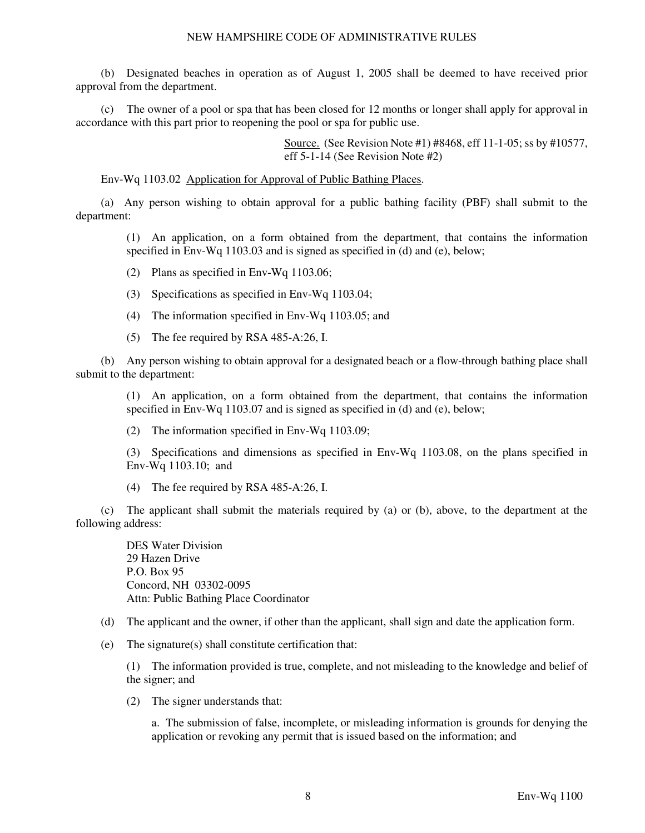(b) Designated beaches in operation as of August 1, 2005 shall be deemed to have received prior approval from the department.

 (c) The owner of a pool or spa that has been closed for 12 months or longer shall apply for approval in accordance with this part prior to reopening the pool or spa for public use.

> Source. (See Revision Note #1) #8468, eff 11-1-05; ss by #10577, eff 5-1-14 (See Revision Note #2)

Env-Wq 1103.02 Application for Approval of Public Bathing Places.

 (a) Any person wishing to obtain approval for a public bathing facility (PBF) shall submit to the department:

(1) An application, on a form obtained from the department, that contains the information specified in Env-Wq 1103.03 and is signed as specified in (d) and (e), below;

- (2) Plans as specified in Env-Wq 1103.06;
- (3) Specifications as specified in Env-Wq 1103.04;
- (4) The information specified in Env-Wq 1103.05; and
- (5) The fee required by RSA 485-A:26, I.

 (b) Any person wishing to obtain approval for a designated beach or a flow-through bathing place shall submit to the department:

(1) An application, on a form obtained from the department, that contains the information specified in Env-Wq 1103.07 and is signed as specified in (d) and (e), below;

(2) The information specified in Env-Wq 1103.09;

(3) Specifications and dimensions as specified in Env-Wq 1103.08, on the plans specified in Env-Wq 1103.10; and

(4) The fee required by RSA 485-A:26, I.

 (c) The applicant shall submit the materials required by (a) or (b), above, to the department at the following address:

DES Water Division 29 Hazen Drive P.O. Box 95 Concord, NH 03302-0095 Attn: Public Bathing Place Coordinator

- (d) The applicant and the owner, if other than the applicant, shall sign and date the application form.
- (e) The signature(s) shall constitute certification that:

(1) The information provided is true, complete, and not misleading to the knowledge and belief of the signer; and

(2) The signer understands that:

a. The submission of false, incomplete, or misleading information is grounds for denying the application or revoking any permit that is issued based on the information; and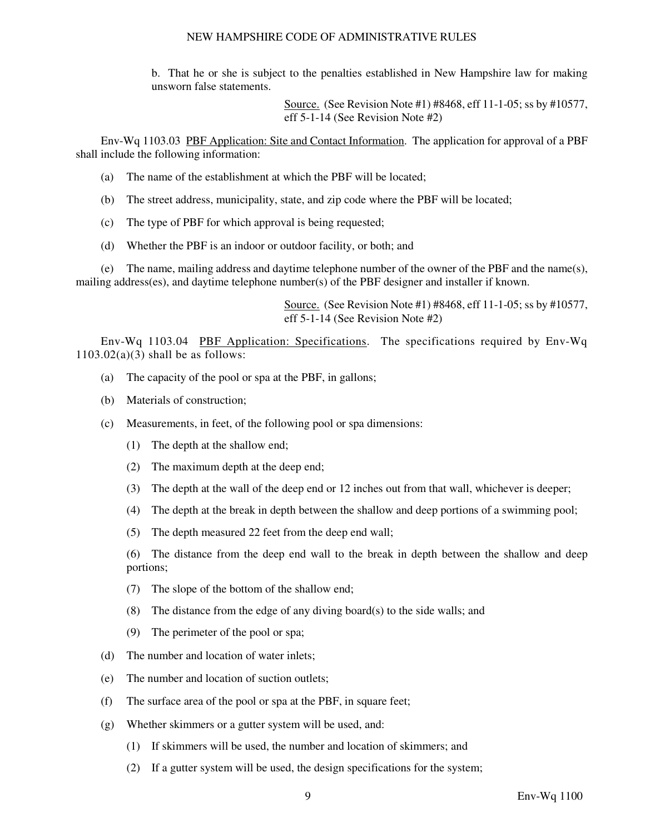b. That he or she is subject to the penalties established in New Hampshire law for making unsworn false statements.

> Source. (See Revision Note #1) #8468, eff 11-1-05; ss by #10577, eff 5-1-14 (See Revision Note #2)

 Env-Wq 1103.03 PBF Application: Site and Contact Information. The application for approval of a PBF shall include the following information:

- (a) The name of the establishment at which the PBF will be located;
- (b) The street address, municipality, state, and zip code where the PBF will be located;
- (c) The type of PBF for which approval is being requested;
- (d) Whether the PBF is an indoor or outdoor facility, or both; and

 (e) The name, mailing address and daytime telephone number of the owner of the PBF and the name(s), mailing address(es), and daytime telephone number(s) of the PBF designer and installer if known.

> Source. (See Revision Note #1) #8468, eff 11-1-05; ss by #10577, eff 5-1-14 (See Revision Note #2)

 Env-Wq 1103.04 PBF Application: Specifications. The specifications required by Env-Wq  $1103.02(a)(3)$  shall be as follows:

- (a) The capacity of the pool or spa at the PBF, in gallons;
- (b) Materials of construction;
- (c) Measurements, in feet, of the following pool or spa dimensions:
	- (1) The depth at the shallow end;
	- (2) The maximum depth at the deep end;
	- (3) The depth at the wall of the deep end or 12 inches out from that wall, whichever is deeper;
	- (4) The depth at the break in depth between the shallow and deep portions of a swimming pool;
	- (5) The depth measured 22 feet from the deep end wall;

(6) The distance from the deep end wall to the break in depth between the shallow and deep portions;

- (7) The slope of the bottom of the shallow end;
- (8) The distance from the edge of any diving board(s) to the side walls; and
- (9) The perimeter of the pool or spa;
- (d) The number and location of water inlets;
- (e) The number and location of suction outlets;
- (f) The surface area of the pool or spa at the PBF, in square feet;
- (g) Whether skimmers or a gutter system will be used, and:
	- (1) If skimmers will be used, the number and location of skimmers; and
	- (2) If a gutter system will be used, the design specifications for the system;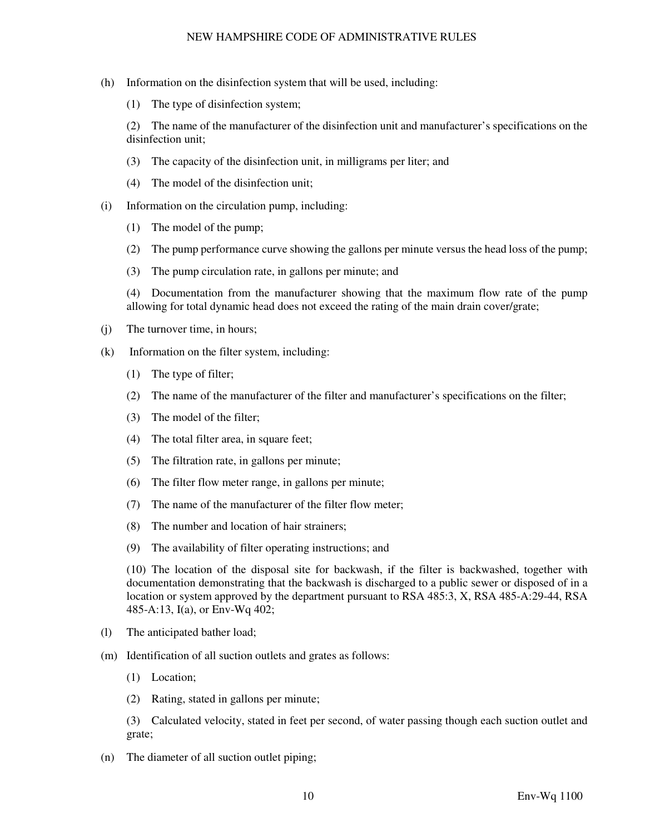- (h) Information on the disinfection system that will be used, including:
	- (1) The type of disinfection system;

(2) The name of the manufacturer of the disinfection unit and manufacturer's specifications on the disinfection unit;

- (3) The capacity of the disinfection unit, in milligrams per liter; and
- (4) The model of the disinfection unit;
- (i) Information on the circulation pump, including:
	- (1) The model of the pump;
	- (2) The pump performance curve showing the gallons per minute versus the head loss of the pump;
	- (3) The pump circulation rate, in gallons per minute; and

(4) Documentation from the manufacturer showing that the maximum flow rate of the pump allowing for total dynamic head does not exceed the rating of the main drain cover/grate;

- (j) The turnover time, in hours;
- (k) Information on the filter system, including:
	- (1) The type of filter;
	- (2) The name of the manufacturer of the filter and manufacturer's specifications on the filter;
	- (3) The model of the filter;
	- (4) The total filter area, in square feet;
	- (5) The filtration rate, in gallons per minute;
	- (6) The filter flow meter range, in gallons per minute;
	- (7) The name of the manufacturer of the filter flow meter;
	- (8) The number and location of hair strainers;
	- (9) The availability of filter operating instructions; and

(10) The location of the disposal site for backwash, if the filter is backwashed, together with documentation demonstrating that the backwash is discharged to a public sewer or disposed of in a location or system approved by the department pursuant to RSA 485:3, X, RSA 485-A:29-44, RSA 485-A:13, I(a), or Env-Wq 402;

- (l) The anticipated bather load;
- (m) Identification of all suction outlets and grates as follows:
	- (1) Location;
	- (2) Rating, stated in gallons per minute;

(3) Calculated velocity, stated in feet per second, of water passing though each suction outlet and grate;

(n) The diameter of all suction outlet piping;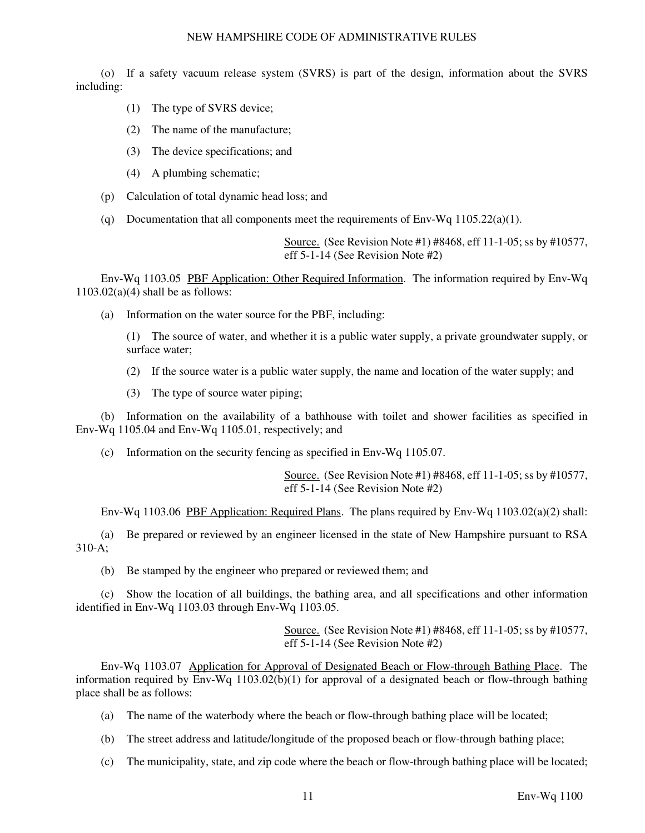(o) If a safety vacuum release system (SVRS) is part of the design, information about the SVRS including:

- (1) The type of SVRS device;
- (2) The name of the manufacture;
- (3) The device specifications; and
- (4) A plumbing schematic;
- (p) Calculation of total dynamic head loss; and
- (q) Documentation that all components meet the requirements of Env-Wq  $1105.22(a)(1)$ .

Source. (See Revision Note #1) #8468, eff 11-1-05; ss by #10577, eff 5-1-14 (See Revision Note #2)

 Env-Wq 1103.05 PBF Application: Other Required Information. The information required by Env-Wq  $1103.02(a)(4)$  shall be as follows:

(a) Information on the water source for the PBF, including:

(1) The source of water, and whether it is a public water supply, a private groundwater supply, or surface water;

- (2) If the source water is a public water supply, the name and location of the water supply; and
- (3) The type of source water piping;

 (b) Information on the availability of a bathhouse with toilet and shower facilities as specified in Env-Wq 1105.04 and Env-Wq 1105.01, respectively; and

(c) Information on the security fencing as specified in Env-Wq 1105.07.

Source. (See Revision Note #1) #8468, eff 11-1-05; ss by #10577, eff 5-1-14 (See Revision Note #2)

Env-Wq 1103.06 PBF Application: Required Plans. The plans required by Env-Wq 1103.02(a)(2) shall:

 (a) Be prepared or reviewed by an engineer licensed in the state of New Hampshire pursuant to RSA 310-A;

(b) Be stamped by the engineer who prepared or reviewed them; and

 (c) Show the location of all buildings, the bathing area, and all specifications and other information identified in Env-Wq 1103.03 through Env-Wq 1103.05.

> Source. (See Revision Note #1) #8468, eff 11-1-05; ss by #10577, eff 5-1-14 (See Revision Note #2)

 Env-Wq 1103.07 Application for Approval of Designated Beach or Flow-through Bathing Place. The information required by Env-Wq 1103.02(b)(1) for approval of a designated beach or flow-through bathing place shall be as follows:

- (a) The name of the waterbody where the beach or flow-through bathing place will be located;
- (b) The street address and latitude/longitude of the proposed beach or flow-through bathing place;
- (c) The municipality, state, and zip code where the beach or flow-through bathing place will be located;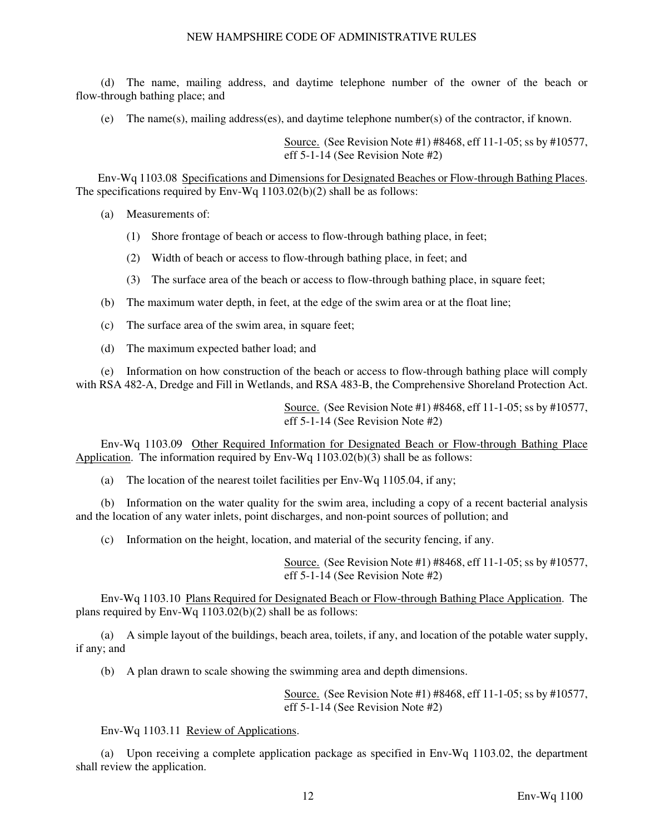(d) The name, mailing address, and daytime telephone number of the owner of the beach or flow-through bathing place; and

(e) The name(s), mailing address(es), and daytime telephone number(s) of the contractor, if known.

Source. (See Revision Note #1) #8468, eff 11-1-05; ss by #10577, eff 5-1-14 (See Revision Note #2)

 Env-Wq 1103.08 Specifications and Dimensions for Designated Beaches or Flow-through Bathing Places. The specifications required by Env-Wq 1103.02(b)(2) shall be as follows:

(a) Measurements of:

- (1) Shore frontage of beach or access to flow-through bathing place, in feet;
- (2) Width of beach or access to flow-through bathing place, in feet; and
- (3) The surface area of the beach or access to flow-through bathing place, in square feet;
- (b) The maximum water depth, in feet, at the edge of the swim area or at the float line;
- (c) The surface area of the swim area, in square feet;
- (d) The maximum expected bather load; and

 (e) Information on how construction of the beach or access to flow-through bathing place will comply with RSA 482-A, Dredge and Fill in Wetlands, and RSA 483-B, the Comprehensive Shoreland Protection Act.

> Source. (See Revision Note #1) #8468, eff 11-1-05; ss by #10577, eff 5-1-14 (See Revision Note #2)

 Env-Wq 1103.09 Other Required Information for Designated Beach or Flow-through Bathing Place Application. The information required by Env-Wq 1103.02(b)(3) shall be as follows:

(a) The location of the nearest toilet facilities per Env-Wq 1105.04, if any;

 (b) Information on the water quality for the swim area, including a copy of a recent bacterial analysis and the location of any water inlets, point discharges, and non-point sources of pollution; and

(c) Information on the height, location, and material of the security fencing, if any.

Source. (See Revision Note #1) #8468, eff 11-1-05; ss by #10577, eff 5-1-14 (See Revision Note #2)

 Env-Wq 1103.10 Plans Required for Designated Beach or Flow-through Bathing Place Application. The plans required by Env-Wq 1103.02(b)(2) shall be as follows:

 (a) A simple layout of the buildings, beach area, toilets, if any, and location of the potable water supply, if any; and

(b) A plan drawn to scale showing the swimming area and depth dimensions.

Source. (See Revision Note #1) #8468, eff 11-1-05; ss by #10577, eff 5-1-14 (See Revision Note #2)

#### Env-Wq 1103.11 Review of Applications.

 (a) Upon receiving a complete application package as specified in Env-Wq 1103.02, the department shall review the application.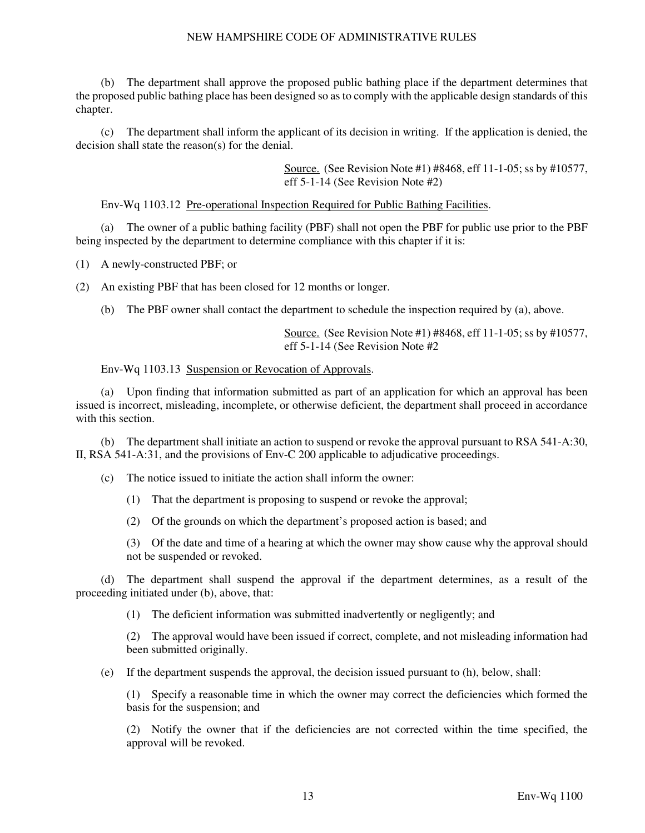The department shall approve the proposed public bathing place if the department determines that the proposed public bathing place has been designed so as to comply with the applicable design standards of this chapter.

 (c) The department shall inform the applicant of its decision in writing. If the application is denied, the decision shall state the reason(s) for the denial.

> Source. (See Revision Note #1) #8468, eff 11-1-05; ss by #10577, eff 5-1-14 (See Revision Note #2)

Env-Wq 1103.12 Pre-operational Inspection Required for Public Bathing Facilities.

 (a) The owner of a public bathing facility (PBF) shall not open the PBF for public use prior to the PBF being inspected by the department to determine compliance with this chapter if it is:

(1) A newly-constructed PBF; or

(2) An existing PBF that has been closed for 12 months or longer.

(b) The PBF owner shall contact the department to schedule the inspection required by (a), above.

Source. (See Revision Note #1) #8468, eff 11-1-05; ss by #10577, eff 5-1-14 (See Revision Note #2

#### Env-Wq 1103.13 Suspension or Revocation of Approvals.

 (a) Upon finding that information submitted as part of an application for which an approval has been issued is incorrect, misleading, incomplete, or otherwise deficient, the department shall proceed in accordance with this section.

 (b) The department shall initiate an action to suspend or revoke the approval pursuant to RSA 541-A:30, II, RSA 541-A:31, and the provisions of Env-C 200 applicable to adjudicative proceedings.

(c) The notice issued to initiate the action shall inform the owner:

(1) That the department is proposing to suspend or revoke the approval;

(2) Of the grounds on which the department's proposed action is based; and

(3) Of the date and time of a hearing at which the owner may show cause why the approval should not be suspended or revoked.

 (d) The department shall suspend the approval if the department determines, as a result of the proceeding initiated under (b), above, that:

(1) The deficient information was submitted inadvertently or negligently; and

(2) The approval would have been issued if correct, complete, and not misleading information had been submitted originally.

(e) If the department suspends the approval, the decision issued pursuant to (h), below, shall:

(1) Specify a reasonable time in which the owner may correct the deficiencies which formed the basis for the suspension; and

(2) Notify the owner that if the deficiencies are not corrected within the time specified, the approval will be revoked.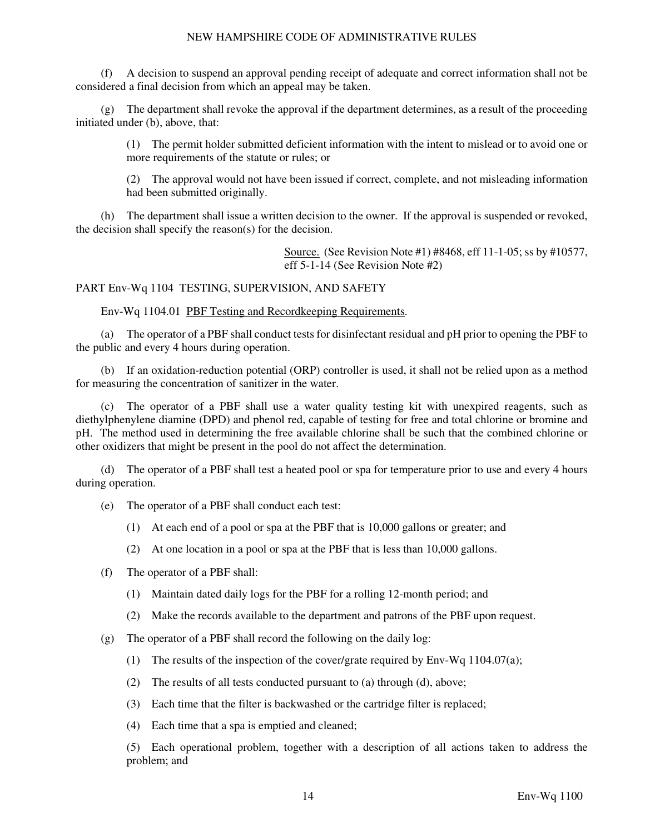(f) A decision to suspend an approval pending receipt of adequate and correct information shall not be considered a final decision from which an appeal may be taken.

 (g) The department shall revoke the approval if the department determines, as a result of the proceeding initiated under (b), above, that:

(1) The permit holder submitted deficient information with the intent to mislead or to avoid one or more requirements of the statute or rules; or

(2) The approval would not have been issued if correct, complete, and not misleading information had been submitted originally.

 (h) The department shall issue a written decision to the owner. If the approval is suspended or revoked, the decision shall specify the reason(s) for the decision.

> Source. (See Revision Note #1) #8468, eff 11-1-05; ss by #10577, eff 5-1-14 (See Revision Note #2)

PART Env-Wq 1104 TESTING, SUPERVISION, AND SAFETY

Env-Wq 1104.01 PBF Testing and Recordkeeping Requirements.

 (a) The operator of a PBF shall conduct tests for disinfectant residual and pH prior to opening the PBF to the public and every 4 hours during operation.

 (b) If an oxidation-reduction potential (ORP) controller is used, it shall not be relied upon as a method for measuring the concentration of sanitizer in the water.

 (c) The operator of a PBF shall use a water quality testing kit with unexpired reagents, such as diethylphenylene diamine (DPD) and phenol red, capable of testing for free and total chlorine or bromine and pH. The method used in determining the free available chlorine shall be such that the combined chlorine or other oxidizers that might be present in the pool do not affect the determination.

 (d) The operator of a PBF shall test a heated pool or spa for temperature prior to use and every 4 hours during operation.

- (e) The operator of a PBF shall conduct each test:
	- (1) At each end of a pool or spa at the PBF that is 10,000 gallons or greater; and
	- (2) At one location in a pool or spa at the PBF that is less than 10,000 gallons.
- (f) The operator of a PBF shall:
	- (1) Maintain dated daily logs for the PBF for a rolling 12-month period; and
	- (2) Make the records available to the department and patrons of the PBF upon request.
- (g) The operator of a PBF shall record the following on the daily log:
	- (1) The results of the inspection of the cover/grate required by Env-Wq 1104.07(a);
	- (2) The results of all tests conducted pursuant to (a) through (d), above;
	- (3) Each time that the filter is backwashed or the cartridge filter is replaced;
	- (4) Each time that a spa is emptied and cleaned;

(5) Each operational problem, together with a description of all actions taken to address the problem; and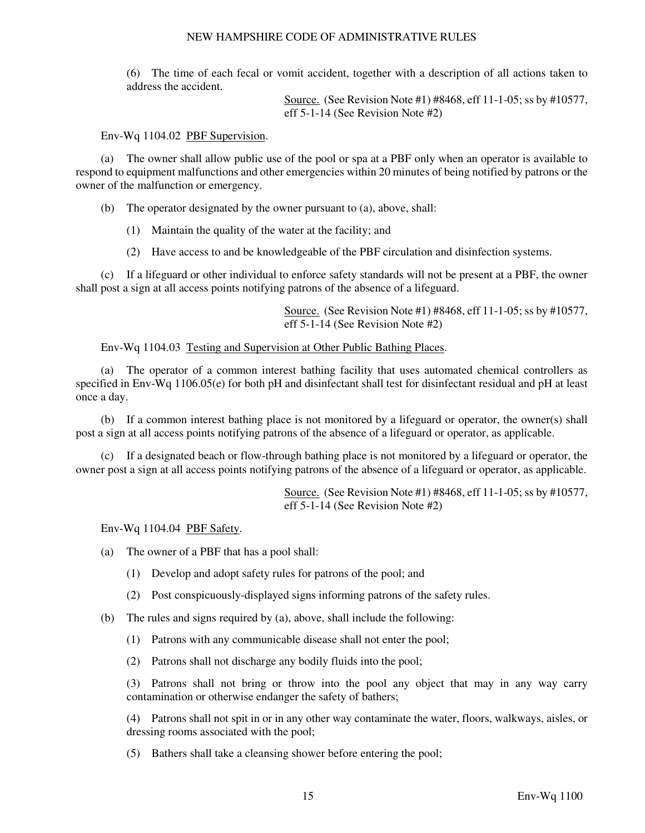(6) The time of each fecal or vomit accident, together with a description of all actions taken to address the accident.

> Source. (See Revision Note #1) #8468, eff 11-1-05; ss by #10577, eff 5-1-14 (See Revision Note #2)

Env-Wq 1104.02 PBF Supervision.

 (a) The owner shall allow public use of the pool or spa at a PBF only when an operator is available to respond to equipment malfunctions and other emergencies within 20 minutes of being notified by patrons or the owner of the malfunction or emergency.

(b) The operator designated by the owner pursuant to (a), above, shall:

(1) Maintain the quality of the water at the facility; and

(2) Have access to and be knowledgeable of the PBF circulation and disinfection systems.

 (c) If a lifeguard or other individual to enforce safety standards will not be present at a PBF, the owner shall post a sign at all access points notifying patrons of the absence of a lifeguard.

> Source. (See Revision Note #1) #8468, eff 11-1-05; ss by #10577, eff 5-1-14 (See Revision Note #2)

### Env-Wq 1104.03 Testing and Supervision at Other Public Bathing Places.

 (a) The operator of a common interest bathing facility that uses automated chemical controllers as specified in Env-Wq 1106.05(e) for both pH and disinfectant shall test for disinfectant residual and pH at least once a day.

 (b) If a common interest bathing place is not monitored by a lifeguard or operator, the owner(s) shall post a sign at all access points notifying patrons of the absence of a lifeguard or operator, as applicable.

 (c) If a designated beach or flow-through bathing place is not monitored by a lifeguard or operator, the owner post a sign at all access points notifying patrons of the absence of a lifeguard or operator, as applicable.

> Source. (See Revision Note #1) #8468, eff 11-1-05; ss by #10577, eff 5-1-14 (See Revision Note #2)

Env-Wq 1104.04 PBF Safety.

(a) The owner of a PBF that has a pool shall:

- (1) Develop and adopt safety rules for patrons of the pool; and
- (2) Post conspicuously-displayed signs informing patrons of the safety rules.
- (b) The rules and signs required by (a), above, shall include the following:
	- (1) Patrons with any communicable disease shall not enter the pool;
	- (2) Patrons shall not discharge any bodily fluids into the pool;

(3) Patrons shall not bring or throw into the pool any object that may in any way carry contamination or otherwise endanger the safety of bathers;

(4) Patrons shall not spit in or in any other way contaminate the water, floors, walkways, aisles, or dressing rooms associated with the pool;

(5) Bathers shall take a cleansing shower before entering the pool;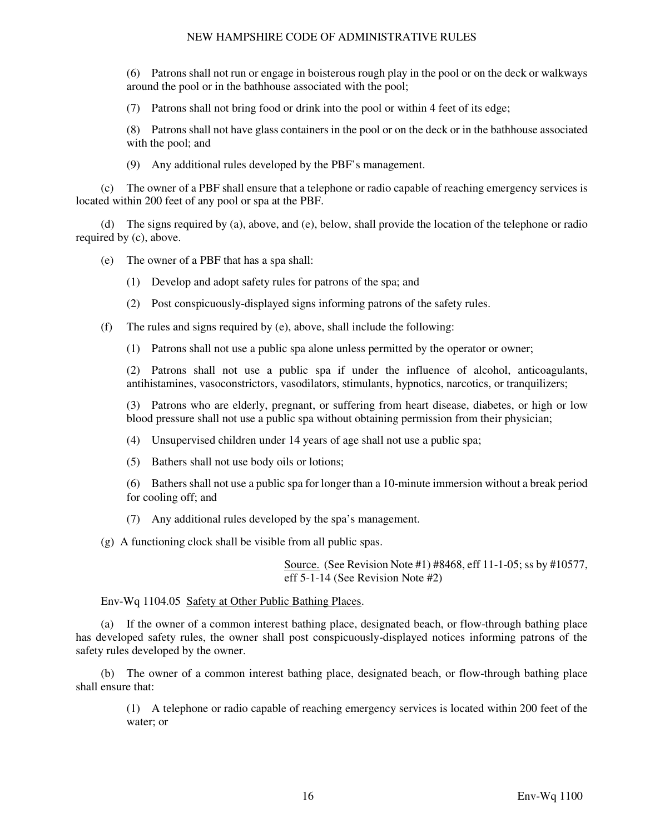(6) Patrons shall not run or engage in boisterous rough play in the pool or on the deck or walkways around the pool or in the bathhouse associated with the pool;

(7) Patrons shall not bring food or drink into the pool or within 4 feet of its edge;

(8) Patrons shall not have glass containers in the pool or on the deck or in the bathhouse associated with the pool; and

(9) Any additional rules developed by the PBF's management.

 (c) The owner of a PBF shall ensure that a telephone or radio capable of reaching emergency services is located within 200 feet of any pool or spa at the PBF.

 (d) The signs required by (a), above, and (e), below, shall provide the location of the telephone or radio required by (c), above.

(e) The owner of a PBF that has a spa shall:

- (1) Develop and adopt safety rules for patrons of the spa; and
- (2) Post conspicuously-displayed signs informing patrons of the safety rules.
- (f) The rules and signs required by (e), above, shall include the following:
	- (1) Patrons shall not use a public spa alone unless permitted by the operator or owner;

(2) Patrons shall not use a public spa if under the influence of alcohol, anticoagulants, antihistamines, vasoconstrictors, vasodilators, stimulants, hypnotics, narcotics, or tranquilizers;

(3) Patrons who are elderly, pregnant, or suffering from heart disease, diabetes, or high or low blood pressure shall not use a public spa without obtaining permission from their physician;

(4) Unsupervised children under 14 years of age shall not use a public spa;

(5) Bathers shall not use body oils or lotions;

(6) Bathers shall not use a public spa for longer than a 10-minute immersion without a break period for cooling off; and

(7) Any additional rules developed by the spa's management.

(g) A functioning clock shall be visible from all public spas.

Source. (See Revision Note #1) #8468, eff 11-1-05; ss by #10577, eff 5-1-14 (See Revision Note #2)

# Env-Wq 1104.05 Safety at Other Public Bathing Places.

 (a) If the owner of a common interest bathing place, designated beach, or flow-through bathing place has developed safety rules, the owner shall post conspicuously-displayed notices informing patrons of the safety rules developed by the owner.

 (b) The owner of a common interest bathing place, designated beach, or flow-through bathing place shall ensure that:

(1) A telephone or radio capable of reaching emergency services is located within 200 feet of the water; or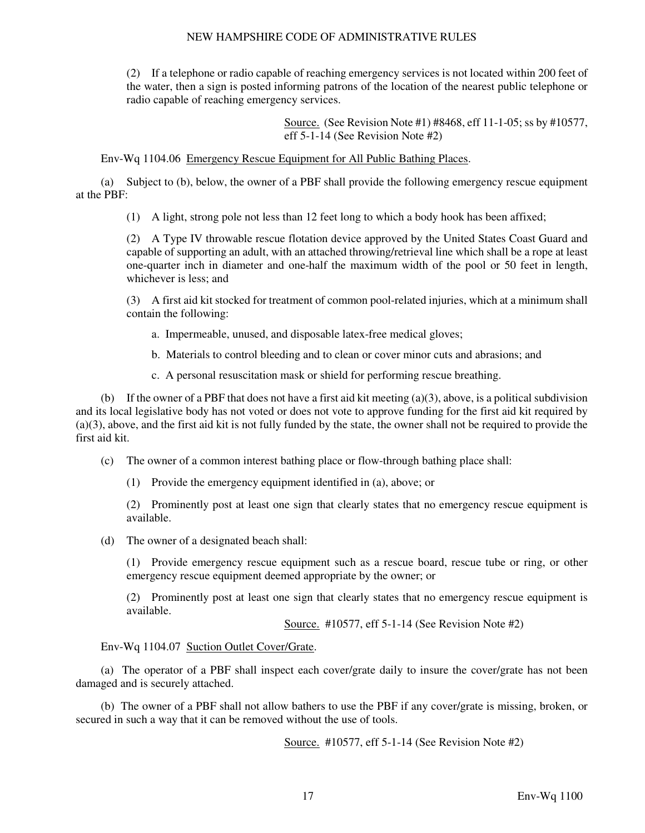(2) If a telephone or radio capable of reaching emergency services is not located within 200 feet of the water, then a sign is posted informing patrons of the location of the nearest public telephone or radio capable of reaching emergency services.

> Source. (See Revision Note #1) #8468, eff 11-1-05; ss by #10577, eff 5-1-14 (See Revision Note #2)

Env-Wq 1104.06 Emergency Rescue Equipment for All Public Bathing Places.

 (a) Subject to (b), below, the owner of a PBF shall provide the following emergency rescue equipment at the PBF:

(1) A light, strong pole not less than 12 feet long to which a body hook has been affixed;

(2) A Type IV throwable rescue flotation device approved by the United States Coast Guard and capable of supporting an adult, with an attached throwing/retrieval line which shall be a rope at least one-quarter inch in diameter and one-half the maximum width of the pool or 50 feet in length, whichever is less; and

(3) A first aid kit stocked for treatment of common pool-related injuries, which at a minimum shall contain the following:

- a. Impermeable, unused, and disposable latex-free medical gloves;
- b. Materials to control bleeding and to clean or cover minor cuts and abrasions; and
- c. A personal resuscitation mask or shield for performing rescue breathing.

 (b) If the owner of a PBF that does not have a first aid kit meeting (a)(3), above, is a political subdivision and its local legislative body has not voted or does not vote to approve funding for the first aid kit required by (a)(3), above, and the first aid kit is not fully funded by the state, the owner shall not be required to provide the first aid kit.

(c) The owner of a common interest bathing place or flow-through bathing place shall:

(1) Provide the emergency equipment identified in (a), above; or

(2) Prominently post at least one sign that clearly states that no emergency rescue equipment is available.

(d) The owner of a designated beach shall:

(1) Provide emergency rescue equipment such as a rescue board, rescue tube or ring, or other emergency rescue equipment deemed appropriate by the owner; or

(2) Prominently post at least one sign that clearly states that no emergency rescue equipment is available.

Source. #10577, eff 5-1-14 (See Revision Note #2)

Env-Wq 1104.07 Suction Outlet Cover/Grate.

 (a) The operator of a PBF shall inspect each cover/grate daily to insure the cover/grate has not been damaged and is securely attached.

 (b) The owner of a PBF shall not allow bathers to use the PBF if any cover/grate is missing, broken, or secured in such a way that it can be removed without the use of tools.

Source. #10577, eff 5-1-14 (See Revision Note #2)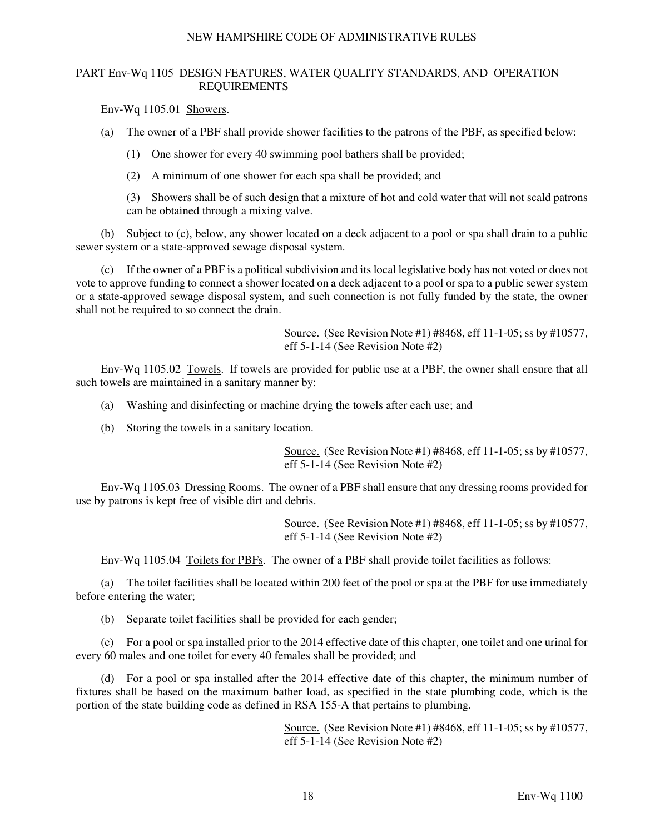# PART Env-Wq 1105 DESIGN FEATURES, WATER QUALITY STANDARDS, AND OPERATION REQUIREMENTS

Env-Wq 1105.01 Showers.

(a) The owner of a PBF shall provide shower facilities to the patrons of the PBF, as specified below:

(1) One shower for every 40 swimming pool bathers shall be provided;

(2) A minimum of one shower for each spa shall be provided; and

(3) Showers shall be of such design that a mixture of hot and cold water that will not scald patrons can be obtained through a mixing valve.

 (b) Subject to (c), below, any shower located on a deck adjacent to a pool or spa shall drain to a public sewer system or a state-approved sewage disposal system.

 (c) If the owner of a PBF is a political subdivision and its local legislative body has not voted or does not vote to approve funding to connect a shower located on a deck adjacent to a pool or spa to a public sewer system or a state-approved sewage disposal system, and such connection is not fully funded by the state, the owner shall not be required to so connect the drain.

> Source. (See Revision Note #1) #8468, eff 11-1-05; ss by #10577, eff 5-1-14 (See Revision Note #2)

 Env-Wq 1105.02 Towels. If towels are provided for public use at a PBF, the owner shall ensure that all such towels are maintained in a sanitary manner by:

- (a) Washing and disinfecting or machine drying the towels after each use; and
- (b) Storing the towels in a sanitary location.

Source. (See Revision Note #1) #8468, eff 11-1-05; ss by #10577, eff 5-1-14 (See Revision Note #2)

 Env-Wq 1105.03 Dressing Rooms. The owner of a PBF shall ensure that any dressing rooms provided for use by patrons is kept free of visible dirt and debris.

> Source. (See Revision Note #1) #8468, eff 11-1-05; ss by #10577, eff 5-1-14 (See Revision Note #2)

Env-Wq 1105.04 Toilets for PBFs. The owner of a PBF shall provide toilet facilities as follows:

 (a) The toilet facilities shall be located within 200 feet of the pool or spa at the PBF for use immediately before entering the water;

(b) Separate toilet facilities shall be provided for each gender;

 (c) For a pool or spa installed prior to the 2014 effective date of this chapter, one toilet and one urinal for every 60 males and one toilet for every 40 females shall be provided; and

 (d) For a pool or spa installed after the 2014 effective date of this chapter, the minimum number of fixtures shall be based on the maximum bather load, as specified in the state plumbing code, which is the portion of the state building code as defined in RSA 155-A that pertains to plumbing.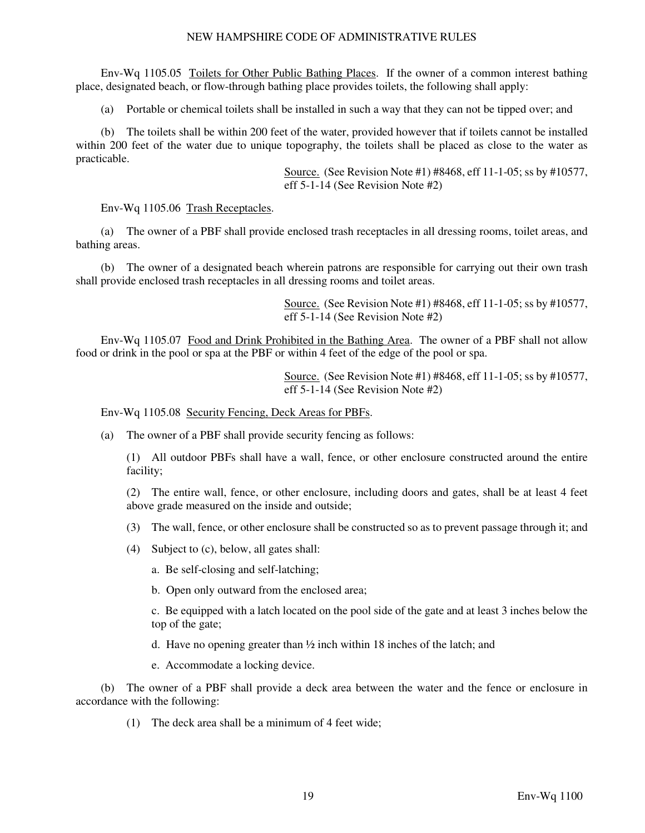Env-Wq 1105.05 Toilets for Other Public Bathing Places. If the owner of a common interest bathing place, designated beach, or flow-through bathing place provides toilets, the following shall apply:

(a) Portable or chemical toilets shall be installed in such a way that they can not be tipped over; and

 (b) The toilets shall be within 200 feet of the water, provided however that if toilets cannot be installed within 200 feet of the water due to unique topography, the toilets shall be placed as close to the water as practicable.

> Source. (See Revision Note #1) #8468, eff 11-1-05; ss by #10577, eff 5-1-14 (See Revision Note #2)

Env-Wq 1105.06 Trash Receptacles.

 (a) The owner of a PBF shall provide enclosed trash receptacles in all dressing rooms, toilet areas, and bathing areas.

 (b) The owner of a designated beach wherein patrons are responsible for carrying out their own trash shall provide enclosed trash receptacles in all dressing rooms and toilet areas.

> Source. (See Revision Note #1) #8468, eff 11-1-05; ss by #10577, eff 5-1-14 (See Revision Note #2)

 Env-Wq 1105.07 Food and Drink Prohibited in the Bathing Area. The owner of a PBF shall not allow food or drink in the pool or spa at the PBF or within 4 feet of the edge of the pool or spa.

> Source. (See Revision Note #1) #8468, eff 11-1-05; ss by #10577, eff 5-1-14 (See Revision Note #2)

Env-Wq 1105.08 Security Fencing, Deck Areas for PBFs.

(a) The owner of a PBF shall provide security fencing as follows:

(1) All outdoor PBFs shall have a wall, fence, or other enclosure constructed around the entire facility;

(2) The entire wall, fence, or other enclosure, including doors and gates, shall be at least 4 feet above grade measured on the inside and outside;

- (3) The wall, fence, or other enclosure shall be constructed so as to prevent passage through it; and
- (4) Subject to (c), below, all gates shall:

a. Be self-closing and self-latching;

b. Open only outward from the enclosed area;

c. Be equipped with a latch located on the pool side of the gate and at least 3 inches below the top of the gate;

d. Have no opening greater than ½ inch within 18 inches of the latch; and

e. Accommodate a locking device.

 (b) The owner of a PBF shall provide a deck area between the water and the fence or enclosure in accordance with the following:

(1) The deck area shall be a minimum of 4 feet wide;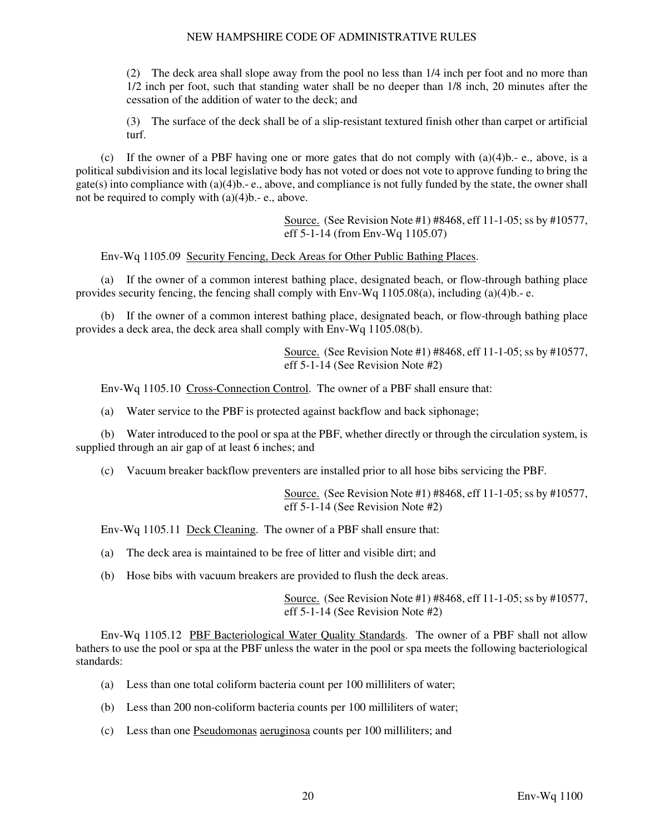(2) The deck area shall slope away from the pool no less than 1/4 inch per foot and no more than 1/2 inch per foot, such that standing water shall be no deeper than 1/8 inch, 20 minutes after the cessation of the addition of water to the deck; and

(3) The surface of the deck shall be of a slip-resistant textured finish other than carpet or artificial turf.

 (c) If the owner of a PBF having one or more gates that do not comply with (a)(4)b.- e., above, is a political subdivision and its local legislative body has not voted or does not vote to approve funding to bring the gate(s) into compliance with  $(a)(4)b - e$ , above, and compliance is not fully funded by the state, the owner shall not be required to comply with (a)(4)b.- e., above.

> Source. (See Revision Note #1) #8468, eff 11-1-05; ss by #10577, eff 5-1-14 (from Env-Wq 1105.07)

Env-Wq 1105.09 Security Fencing, Deck Areas for Other Public Bathing Places.

 (a) If the owner of a common interest bathing place, designated beach, or flow-through bathing place provides security fencing, the fencing shall comply with  $Env-Wq 1105.08(a)$ , including (a)(4)b.- e.

 (b) If the owner of a common interest bathing place, designated beach, or flow-through bathing place provides a deck area, the deck area shall comply with Env-Wq 1105.08(b).

> Source. (See Revision Note #1) #8468, eff 11-1-05; ss by #10577, eff 5-1-14 (See Revision Note #2)

Env-Wq 1105.10 Cross-Connection Control. The owner of a PBF shall ensure that:

(a) Water service to the PBF is protected against backflow and back siphonage;

 (b) Water introduced to the pool or spa at the PBF, whether directly or through the circulation system, is supplied through an air gap of at least 6 inches; and

(c) Vacuum breaker backflow preventers are installed prior to all hose bibs servicing the PBF.

Source. (See Revision Note #1) #8468, eff 11-1-05; ss by #10577, eff 5-1-14 (See Revision Note #2)

Env-Wq 1105.11 Deck Cleaning. The owner of a PBF shall ensure that:

- (a) The deck area is maintained to be free of litter and visible dirt; and
- (b) Hose bibs with vacuum breakers are provided to flush the deck areas.

Source. (See Revision Note #1) #8468, eff 11-1-05; ss by #10577, eff 5-1-14 (See Revision Note #2)

 Env-Wq 1105.12 PBF Bacteriological Water Quality Standards. The owner of a PBF shall not allow bathers to use the pool or spa at the PBF unless the water in the pool or spa meets the following bacteriological standards:

- (a) Less than one total coliform bacteria count per 100 milliliters of water;
- (b) Less than 200 non-coliform bacteria counts per 100 milliliters of water;
- (c) Less than one Pseudomonas aeruginosa counts per 100 milliliters; and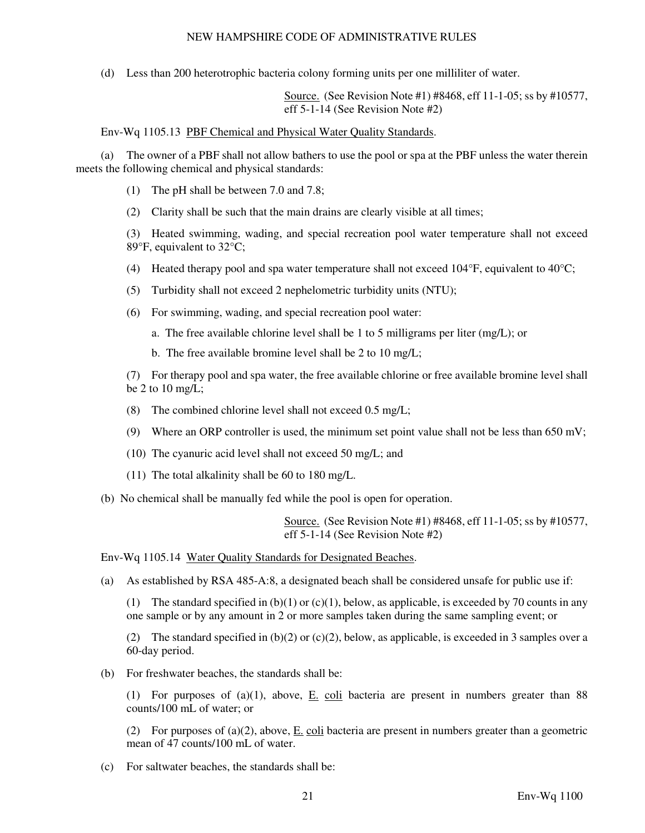(d) Less than 200 heterotrophic bacteria colony forming units per one milliliter of water.

Source. (See Revision Note #1) #8468, eff 11-1-05; ss by #10577, eff 5-1-14 (See Revision Note #2)

Env-Wq 1105.13 PBF Chemical and Physical Water Quality Standards.

 (a) The owner of a PBF shall not allow bathers to use the pool or spa at the PBF unless the water therein meets the following chemical and physical standards:

- (1) The pH shall be between 7.0 and 7.8;
- (2) Clarity shall be such that the main drains are clearly visible at all times;

(3) Heated swimming, wading, and special recreation pool water temperature shall not exceed 89°F, equivalent to 32°C;

- (4) Heated therapy pool and spa water temperature shall not exceed  $104^{\circ}F$ , equivalent to  $40^{\circ}C$ ;
- (5) Turbidity shall not exceed 2 nephelometric turbidity units (NTU);
- (6) For swimming, wading, and special recreation pool water:
	- a. The free available chlorine level shall be 1 to 5 milligrams per liter (mg/L); or
	- b. The free available bromine level shall be 2 to 10 mg/L;

(7) For therapy pool and spa water, the free available chlorine or free available bromine level shall be 2 to  $10 \text{ mg/L}$ ;

- (8) The combined chlorine level shall not exceed  $0.5 \text{ mg/L}$ ;
- (9) Where an ORP controller is used, the minimum set point value shall not be less than  $650 \text{ mV}$ ;
- (10) The cyanuric acid level shall not exceed 50 mg/L; and
- (11) The total alkalinity shall be 60 to 180 mg/L.
- (b) No chemical shall be manually fed while the pool is open for operation.

Source. (See Revision Note #1) #8468, eff 11-1-05; ss by #10577, eff 5-1-14 (See Revision Note #2)

Env-Wq 1105.14 Water Quality Standards for Designated Beaches.

(a) As established by RSA 485-A:8, a designated beach shall be considered unsafe for public use if:

(1) The standard specified in  $(b)(1)$  or  $(c)(1)$ , below, as applicable, is exceeded by 70 counts in any one sample or by any amount in 2 or more samples taken during the same sampling event; or

(2) The standard specified in  $(b)(2)$  or  $(c)(2)$ , below, as applicable, is exceeded in 3 samples over a 60-day period.

(b) For freshwater beaches, the standards shall be:

(1) For purposes of (a)(1), above,  $E$ , coli bacteria are present in numbers greater than 88 counts/100 mL of water; or

(2) For purposes of (a)(2), above,  $\underline{E}$ . coli bacteria are present in numbers greater than a geometric mean of 47 counts/100 mL of water.

(c) For saltwater beaches, the standards shall be: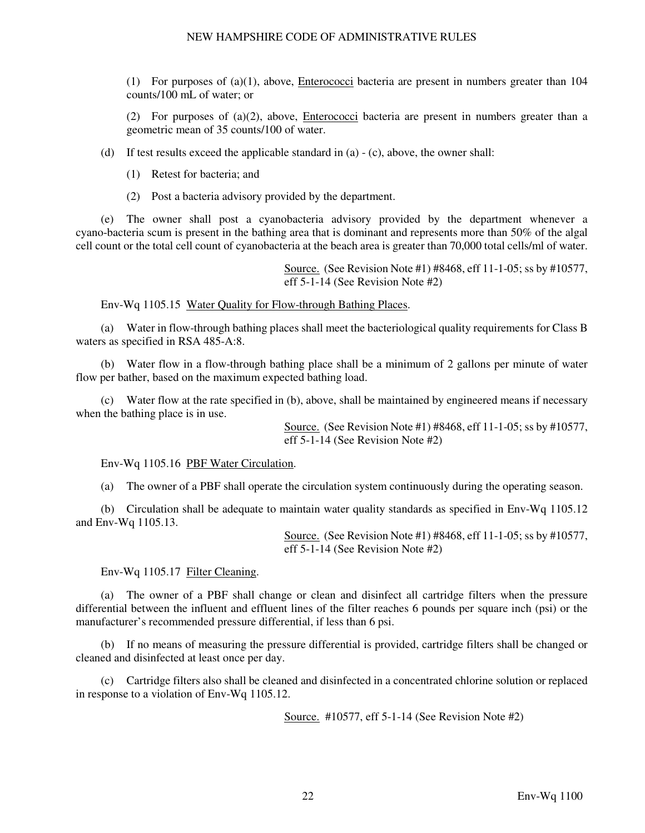(1) For purposes of  $(a)(1)$ , above, *Enterococci* bacteria are present in numbers greater than  $104$ counts/100 mL of water; or

(2) For purposes of (a)(2), above, Enterococci bacteria are present in numbers greater than a geometric mean of 35 counts/100 of water.

(d) If test results exceed the applicable standard in (a) - (c), above, the owner shall:

- (1) Retest for bacteria; and
- (2) Post a bacteria advisory provided by the department.

 (e) The owner shall post a cyanobacteria advisory provided by the department whenever a cyano-bacteria scum is present in the bathing area that is dominant and represents more than 50% of the algal cell count or the total cell count of cyanobacteria at the beach area is greater than 70,000 total cells/ml of water.

> Source. (See Revision Note #1) #8468, eff 11-1-05; ss by #10577, eff 5-1-14 (See Revision Note #2)

Env-Wq 1105.15 Water Quality for Flow-through Bathing Places.

 (a) Water in flow-through bathing places shall meet the bacteriological quality requirements for Class B waters as specified in RSA 485-A:8.

 (b) Water flow in a flow-through bathing place shall be a minimum of 2 gallons per minute of water flow per bather, based on the maximum expected bathing load.

 (c) Water flow at the rate specified in (b), above, shall be maintained by engineered means if necessary when the bathing place is in use.

> Source. (See Revision Note #1) #8468, eff 11-1-05; ss by #10577, eff 5-1-14 (See Revision Note #2)

Env-Wq 1105.16 PBF Water Circulation.

(a) The owner of a PBF shall operate the circulation system continuously during the operating season.

 (b) Circulation shall be adequate to maintain water quality standards as specified in Env-Wq 1105.12 and Env-Wq 1105.13.

> Source. (See Revision Note #1) #8468, eff 11-1-05; ss by #10577, eff 5-1-14 (See Revision Note #2)

Env-Wq 1105.17 Filter Cleaning.

 (a) The owner of a PBF shall change or clean and disinfect all cartridge filters when the pressure differential between the influent and effluent lines of the filter reaches 6 pounds per square inch (psi) or the manufacturer's recommended pressure differential, if less than 6 psi.

 (b) If no means of measuring the pressure differential is provided, cartridge filters shall be changed or cleaned and disinfected at least once per day.

 (c) Cartridge filters also shall be cleaned and disinfected in a concentrated chlorine solution or replaced in response to a violation of Env-Wq 1105.12.

Source. #10577, eff 5-1-14 (See Revision Note #2)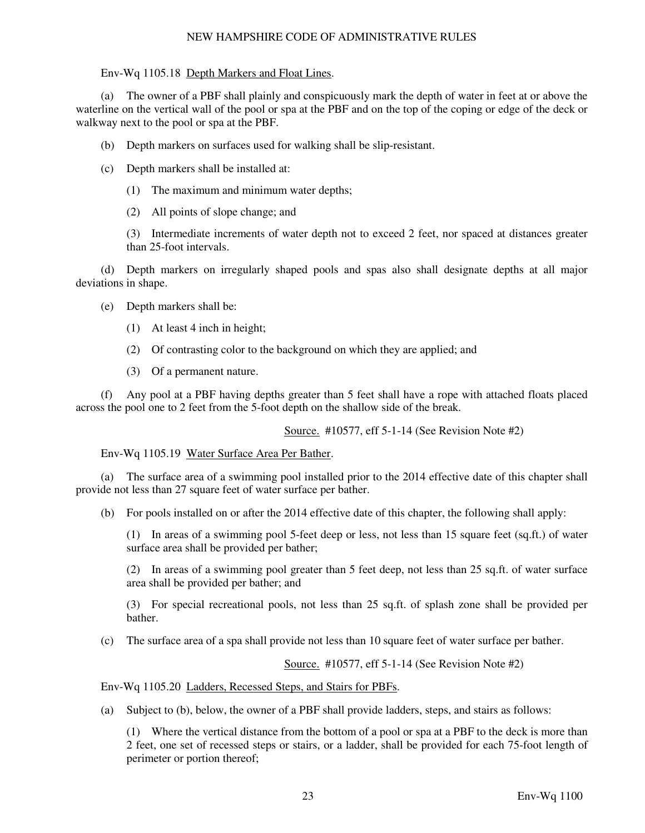Env-Wq 1105.18 Depth Markers and Float Lines.

 (a) The owner of a PBF shall plainly and conspicuously mark the depth of water in feet at or above the waterline on the vertical wall of the pool or spa at the PBF and on the top of the coping or edge of the deck or walkway next to the pool or spa at the PBF.

(b) Depth markers on surfaces used for walking shall be slip-resistant.

- (c) Depth markers shall be installed at:
	- (1) The maximum and minimum water depths;
	- (2) All points of slope change; and

(3) Intermediate increments of water depth not to exceed 2 feet, nor spaced at distances greater than 25-foot intervals.

 (d) Depth markers on irregularly shaped pools and spas also shall designate depths at all major deviations in shape.

- (e) Depth markers shall be:
	- (1) At least 4 inch in height;
	- (2) Of contrasting color to the background on which they are applied; and
	- (3) Of a permanent nature.

 (f) Any pool at a PBF having depths greater than 5 feet shall have a rope with attached floats placed across the pool one to 2 feet from the 5-foot depth on the shallow side of the break.

Source. #10577, eff 5-1-14 (See Revision Note #2)

Env-Wq 1105.19 Water Surface Area Per Bather.

 (a) The surface area of a swimming pool installed prior to the 2014 effective date of this chapter shall provide not less than 27 square feet of water surface per bather.

(b) For pools installed on or after the 2014 effective date of this chapter, the following shall apply:

(1) In areas of a swimming pool 5-feet deep or less, not less than 15 square feet (sq.ft.) of water surface area shall be provided per bather;

(2) In areas of a swimming pool greater than 5 feet deep, not less than 25 sq.ft. of water surface area shall be provided per bather; and

(3) For special recreational pools, not less than 25 sq.ft. of splash zone shall be provided per bather.

(c) The surface area of a spa shall provide not less than 10 square feet of water surface per bather.

Source. #10577, eff 5-1-14 (See Revision Note #2)

Env-Wq 1105.20 Ladders, Recessed Steps, and Stairs for PBFs.

(a) Subject to (b), below, the owner of a PBF shall provide ladders, steps, and stairs as follows:

(1) Where the vertical distance from the bottom of a pool or spa at a PBF to the deck is more than 2 feet, one set of recessed steps or stairs, or a ladder, shall be provided for each 75-foot length of perimeter or portion thereof;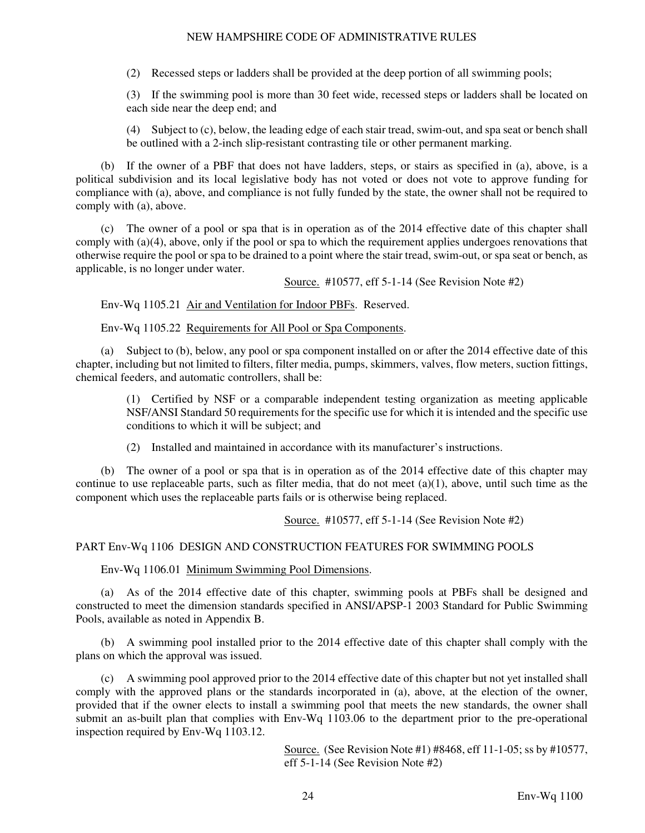(2) Recessed steps or ladders shall be provided at the deep portion of all swimming pools;

(3) If the swimming pool is more than 30 feet wide, recessed steps or ladders shall be located on each side near the deep end; and

(4) Subject to (c), below, the leading edge of each stair tread, swim-out, and spa seat or bench shall be outlined with a 2-inch slip-resistant contrasting tile or other permanent marking.

 (b) If the owner of a PBF that does not have ladders, steps, or stairs as specified in (a), above, is a political subdivision and its local legislative body has not voted or does not vote to approve funding for compliance with (a), above, and compliance is not fully funded by the state, the owner shall not be required to comply with (a), above.

 (c) The owner of a pool or spa that is in operation as of the 2014 effective date of this chapter shall comply with (a)(4), above, only if the pool or spa to which the requirement applies undergoes renovations that otherwise require the pool or spa to be drained to a point where the stair tread, swim-out, or spa seat or bench, as applicable, is no longer under water.

Source. #10577, eff 5-1-14 (See Revision Note #2)

Env-Wq 1105.21 Air and Ventilation for Indoor PBFs. Reserved.

Env-Wq 1105.22 Requirements for All Pool or Spa Components.

 (a) Subject to (b), below, any pool or spa component installed on or after the 2014 effective date of this chapter, including but not limited to filters, filter media, pumps, skimmers, valves, flow meters, suction fittings, chemical feeders, and automatic controllers, shall be:

(1) Certified by NSF or a comparable independent testing organization as meeting applicable NSF/ANSI Standard 50 requirements for the specific use for which it is intended and the specific use conditions to which it will be subject; and

(2) Installed and maintained in accordance with its manufacturer's instructions.

 (b) The owner of a pool or spa that is in operation as of the 2014 effective date of this chapter may continue to use replaceable parts, such as filter media, that do not meet  $(a)(1)$ , above, until such time as the component which uses the replaceable parts fails or is otherwise being replaced.

Source. #10577, eff 5-1-14 (See Revision Note #2)

# PART Env-Wq 1106 DESIGN AND CONSTRUCTION FEATURES FOR SWIMMING POOLS

Env-Wq 1106.01 Minimum Swimming Pool Dimensions.

 (a) As of the 2014 effective date of this chapter, swimming pools at PBFs shall be designed and constructed to meet the dimension standards specified in ANSI/APSP-1 2003 Standard for Public Swimming Pools, available as noted in Appendix B.

 (b) A swimming pool installed prior to the 2014 effective date of this chapter shall comply with the plans on which the approval was issued.

 (c) A swimming pool approved prior to the 2014 effective date of this chapter but not yet installed shall comply with the approved plans or the standards incorporated in (a), above, at the election of the owner, provided that if the owner elects to install a swimming pool that meets the new standards, the owner shall submit an as-built plan that complies with Env-Wq 1103.06 to the department prior to the pre-operational inspection required by Env-Wq 1103.12.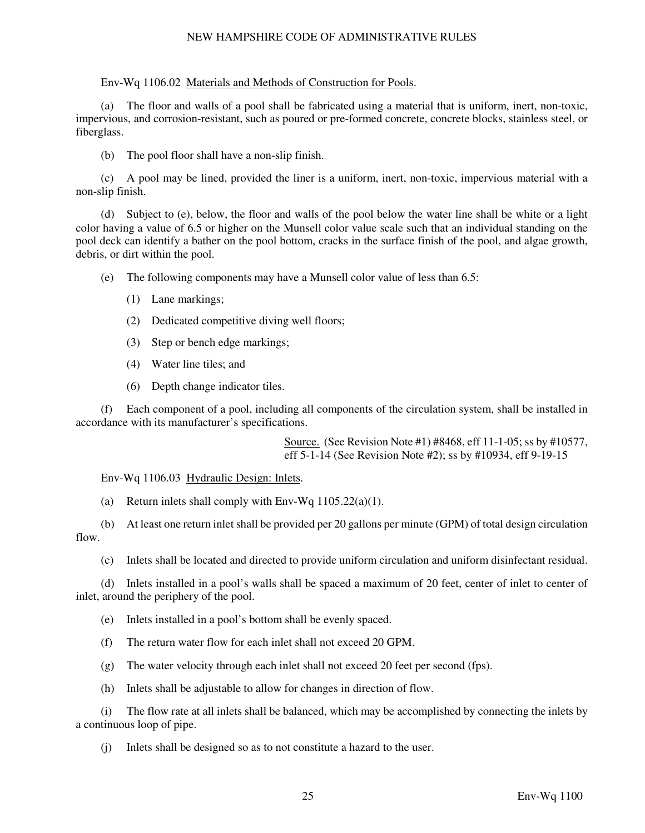Env-Wq 1106.02 Materials and Methods of Construction for Pools.

 (a) The floor and walls of a pool shall be fabricated using a material that is uniform, inert, non-toxic, impervious, and corrosion-resistant, such as poured or pre-formed concrete, concrete blocks, stainless steel, or fiberglass.

(b) The pool floor shall have a non-slip finish.

 (c) A pool may be lined, provided the liner is a uniform, inert, non-toxic, impervious material with a non-slip finish.

 (d) Subject to (e), below, the floor and walls of the pool below the water line shall be white or a light color having a value of 6.5 or higher on the Munsell color value scale such that an individual standing on the pool deck can identify a bather on the pool bottom, cracks in the surface finish of the pool, and algae growth, debris, or dirt within the pool.

(e) The following components may have a Munsell color value of less than 6.5:

- (1) Lane markings;
- (2) Dedicated competitive diving well floors;
- (3) Step or bench edge markings;
- (4) Water line tiles; and
- (6) Depth change indicator tiles.

 (f) Each component of a pool, including all components of the circulation system, shall be installed in accordance with its manufacturer's specifications.

> Source. (See Revision Note #1) #8468, eff 11-1-05; ss by #10577, eff 5-1-14 (See Revision Note #2); ss by #10934, eff 9-19-15

Env-Wq 1106.03 Hydraulic Design: Inlets.

(a) Return inlets shall comply with Env-Wq  $1105.22(a)(1)$ .

 (b) At least one return inlet shall be provided per 20 gallons per minute (GPM) of total design circulation flow.

(c) Inlets shall be located and directed to provide uniform circulation and uniform disinfectant residual.

 (d) Inlets installed in a pool's walls shall be spaced a maximum of 20 feet, center of inlet to center of inlet, around the periphery of the pool.

- (e) Inlets installed in a pool's bottom shall be evenly spaced.
- (f) The return water flow for each inlet shall not exceed 20 GPM.
- (g) The water velocity through each inlet shall not exceed 20 feet per second (fps).
- (h) Inlets shall be adjustable to allow for changes in direction of flow.

 (i) The flow rate at all inlets shall be balanced, which may be accomplished by connecting the inlets by a continuous loop of pipe.

(j) Inlets shall be designed so as to not constitute a hazard to the user.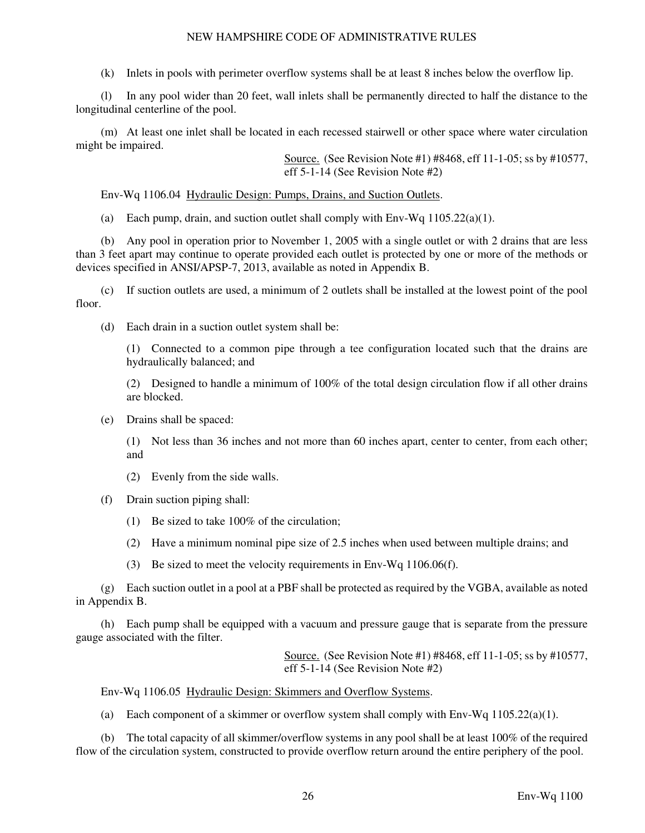(k) Inlets in pools with perimeter overflow systems shall be at least 8 inches below the overflow lip.

 (l) In any pool wider than 20 feet, wall inlets shall be permanently directed to half the distance to the longitudinal centerline of the pool.

 (m) At least one inlet shall be located in each recessed stairwell or other space where water circulation might be impaired.

> Source. (See Revision Note #1) #8468, eff 11-1-05; ss by #10577, eff 5-1-14 (See Revision Note #2)

Env-Wq 1106.04 Hydraulic Design: Pumps, Drains, and Suction Outlets.

(a) Each pump, drain, and suction outlet shall comply with  $Env-Wq 1105.22(a)(1)$ .

 (b) Any pool in operation prior to November 1, 2005 with a single outlet or with 2 drains that are less than 3 feet apart may continue to operate provided each outlet is protected by one or more of the methods or devices specified in ANSI/APSP-7, 2013, available as noted in Appendix B.

 (c) If suction outlets are used, a minimum of 2 outlets shall be installed at the lowest point of the pool floor.

(d) Each drain in a suction outlet system shall be:

(1) Connected to a common pipe through a tee configuration located such that the drains are hydraulically balanced; and

(2) Designed to handle a minimum of 100% of the total design circulation flow if all other drains are blocked.

(e) Drains shall be spaced:

(1) Not less than 36 inches and not more than 60 inches apart, center to center, from each other; and

- (2) Evenly from the side walls.
- (f) Drain suction piping shall:
	- (1) Be sized to take 100% of the circulation;
	- (2) Have a minimum nominal pipe size of 2.5 inches when used between multiple drains; and
	- (3) Be sized to meet the velocity requirements in Env-Wq 1106.06(f).

 (g) Each suction outlet in a pool at a PBF shall be protected as required by the VGBA, available as noted in Appendix B.

 (h) Each pump shall be equipped with a vacuum and pressure gauge that is separate from the pressure gauge associated with the filter.

> Source. (See Revision Note #1) #8468, eff 11-1-05; ss by #10577, eff 5-1-14 (See Revision Note #2)

Env-Wq 1106.05 Hydraulic Design: Skimmers and Overflow Systems.

(a) Each component of a skimmer or overflow system shall comply with Env-Wq  $1105.22(a)(1)$ .

 (b) The total capacity of all skimmer/overflow systems in any pool shall be at least 100% of the required flow of the circulation system, constructed to provide overflow return around the entire periphery of the pool.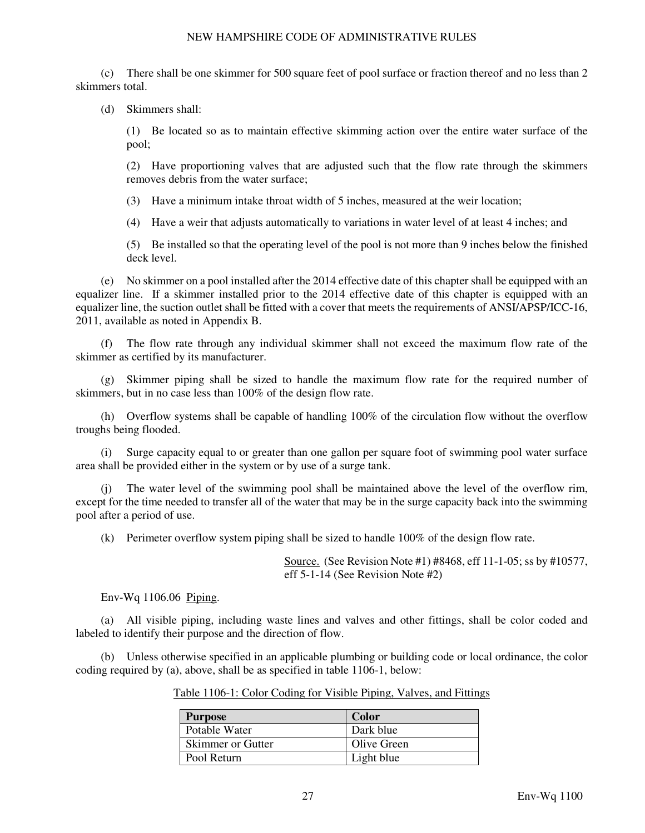(c) There shall be one skimmer for 500 square feet of pool surface or fraction thereof and no less than 2 skimmers total.

(d) Skimmers shall:

(1) Be located so as to maintain effective skimming action over the entire water surface of the pool;

(2) Have proportioning valves that are adjusted such that the flow rate through the skimmers removes debris from the water surface;

(3) Have a minimum intake throat width of 5 inches, measured at the weir location;

(4) Have a weir that adjusts automatically to variations in water level of at least 4 inches; and

(5) Be installed so that the operating level of the pool is not more than 9 inches below the finished deck level.

 (e) No skimmer on a pool installed after the 2014 effective date of this chapter shall be equipped with an equalizer line. If a skimmer installed prior to the 2014 effective date of this chapter is equipped with an equalizer line, the suction outlet shall be fitted with a cover that meets the requirements of ANSI/APSP/ICC-16, 2011, available as noted in Appendix B.

 (f) The flow rate through any individual skimmer shall not exceed the maximum flow rate of the skimmer as certified by its manufacturer.

 (g) Skimmer piping shall be sized to handle the maximum flow rate for the required number of skimmers, but in no case less than 100% of the design flow rate.

 (h) Overflow systems shall be capable of handling 100% of the circulation flow without the overflow troughs being flooded.

Surge capacity equal to or greater than one gallon per square foot of swimming pool water surface area shall be provided either in the system or by use of a surge tank.

 (j) The water level of the swimming pool shall be maintained above the level of the overflow rim, except for the time needed to transfer all of the water that may be in the surge capacity back into the swimming pool after a period of use.

(k) Perimeter overflow system piping shall be sized to handle 100% of the design flow rate.

Source. (See Revision Note #1) #8468, eff 11-1-05; ss by #10577, eff 5-1-14 (See Revision Note #2)

Env-Wq 1106.06 Piping.

 (a) All visible piping, including waste lines and valves and other fittings, shall be color coded and labeled to identify their purpose and the direction of flow.

 (b) Unless otherwise specified in an applicable plumbing or building code or local ordinance, the color coding required by (a), above, shall be as specified in table 1106-1, below:

|  | Table 1106-1: Color Coding for Visible Piping, Valves, and Fittings |
|--|---------------------------------------------------------------------|
|  |                                                                     |

| <b>Purpose</b>           | <b>Color</b> |
|--------------------------|--------------|
| Potable Water            | Dark blue    |
| <b>Skimmer or Gutter</b> | Olive Green  |
| Pool Return              | Light blue   |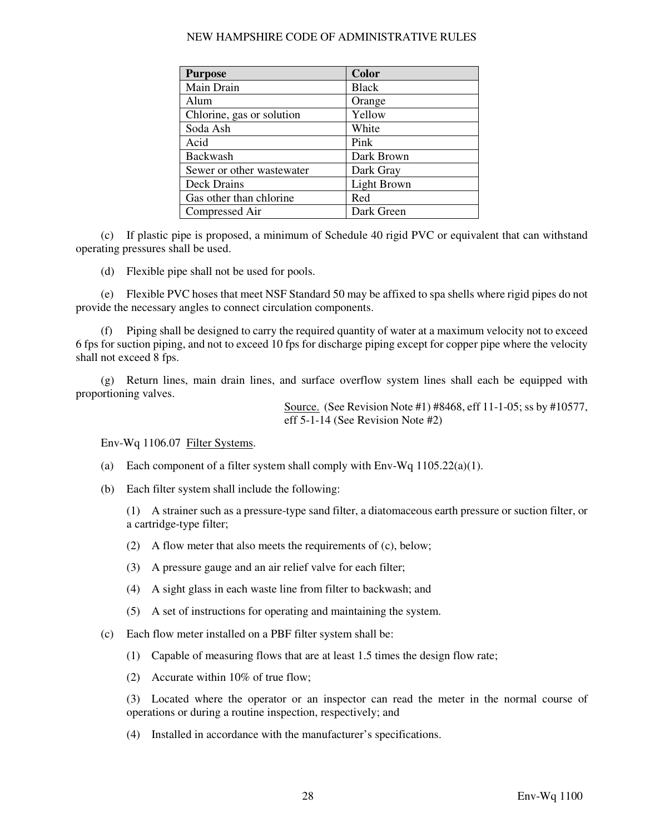|  | NEW HAMPSHIRE CODE OF ADMINISTRATIVE RULES |  |
|--|--------------------------------------------|--|
|  |                                            |  |

| <b>Purpose</b>            | Color        |
|---------------------------|--------------|
| Main Drain                | <b>Black</b> |
| Alum                      | Orange       |
| Chlorine, gas or solution | Yellow       |
| Soda Ash                  | White        |
| Acid                      | Pink         |
| <b>Backwash</b>           | Dark Brown   |
| Sewer or other wastewater | Dark Gray    |
| Deck Drains               | Light Brown  |
| Gas other than chlorine   | Red          |
| Compressed Air            | Dark Green   |

 (c) If plastic pipe is proposed, a minimum of Schedule 40 rigid PVC or equivalent that can withstand operating pressures shall be used.

(d) Flexible pipe shall not be used for pools.

 (e) Flexible PVC hoses that meet NSF Standard 50 may be affixed to spa shells where rigid pipes do not provide the necessary angles to connect circulation components.

 (f) Piping shall be designed to carry the required quantity of water at a maximum velocity not to exceed 6 fps for suction piping, and not to exceed 10 fps for discharge piping except for copper pipe where the velocity shall not exceed 8 fps.

 (g) Return lines, main drain lines, and surface overflow system lines shall each be equipped with proportioning valves.

> Source. (See Revision Note #1) #8468, eff 11-1-05; ss by #10577, eff 5-1-14 (See Revision Note #2)

Env-Wq 1106.07 Filter Systems.

- (a) Each component of a filter system shall comply with Env-Wq 1105.22(a)(1).
- (b) Each filter system shall include the following:

(1) A strainer such as a pressure-type sand filter, a diatomaceous earth pressure or suction filter, or a cartridge-type filter;

- (2) A flow meter that also meets the requirements of (c), below;
- (3) A pressure gauge and an air relief valve for each filter;
- (4) A sight glass in each waste line from filter to backwash; and
- (5) A set of instructions for operating and maintaining the system.
- (c) Each flow meter installed on a PBF filter system shall be:
	- (1) Capable of measuring flows that are at least 1.5 times the design flow rate;
	- (2) Accurate within 10% of true flow;

(3) Located where the operator or an inspector can read the meter in the normal course of operations or during a routine inspection, respectively; and

(4) Installed in accordance with the manufacturer's specifications.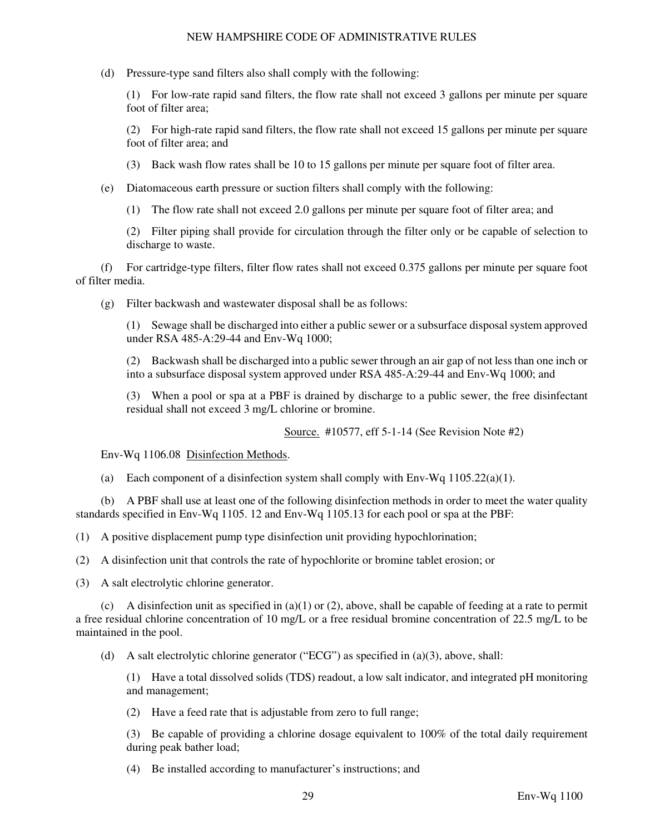(d) Pressure-type sand filters also shall comply with the following:

(1) For low-rate rapid sand filters, the flow rate shall not exceed 3 gallons per minute per square foot of filter area;

(2) For high-rate rapid sand filters, the flow rate shall not exceed 15 gallons per minute per square foot of filter area; and

- (3) Back wash flow rates shall be 10 to 15 gallons per minute per square foot of filter area.
- (e) Diatomaceous earth pressure or suction filters shall comply with the following:

(1) The flow rate shall not exceed 2.0 gallons per minute per square foot of filter area; and

(2) Filter piping shall provide for circulation through the filter only or be capable of selection to discharge to waste.

 (f) For cartridge-type filters, filter flow rates shall not exceed 0.375 gallons per minute per square foot of filter media.

(g) Filter backwash and wastewater disposal shall be as follows:

(1) Sewage shall be discharged into either a public sewer or a subsurface disposal system approved under RSA 485-A:29-44 and Env-Wq 1000;

(2) Backwash shall be discharged into a public sewer through an air gap of not less than one inch or into a subsurface disposal system approved under RSA 485-A:29-44 and Env-Wq 1000; and

(3) When a pool or spa at a PBF is drained by discharge to a public sewer, the free disinfectant residual shall not exceed 3 mg/L chlorine or bromine.

Source. #10577, eff 5-1-14 (See Revision Note #2)

Env-Wq 1106.08 Disinfection Methods.

(a) Each component of a disinfection system shall comply with Env-Wq  $1105.22(a)(1)$ .

 (b) A PBF shall use at least one of the following disinfection methods in order to meet the water quality standards specified in Env-Wq 1105. 12 and Env-Wq 1105.13 for each pool or spa at the PBF:

(1) A positive displacement pump type disinfection unit providing hypochlorination;

(2) A disinfection unit that controls the rate of hypochlorite or bromine tablet erosion; or

(3) A salt electrolytic chlorine generator.

(c) A disinfection unit as specified in (a)(1) or (2), above, shall be capable of feeding at a rate to permit a free residual chlorine concentration of 10 mg/L or a free residual bromine concentration of 22.5 mg/L to be maintained in the pool.

(d) A salt electrolytic chlorine generator ("ECG") as specified in (a)(3), above, shall:

(1) Have a total dissolved solids (TDS) readout, a low salt indicator, and integrated pH monitoring and management;

(2) Have a feed rate that is adjustable from zero to full range;

(3) Be capable of providing a chlorine dosage equivalent to 100% of the total daily requirement during peak bather load;

(4) Be installed according to manufacturer's instructions; and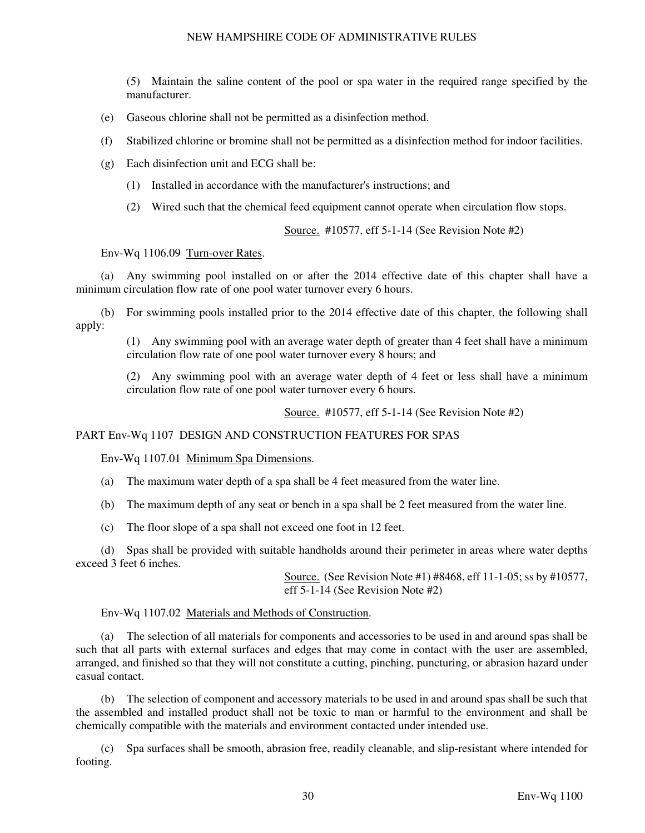(5) Maintain the saline content of the pool or spa water in the required range specified by the manufacturer.

- (e) Gaseous chlorine shall not be permitted as a disinfection method.
- (f) Stabilized chlorine or bromine shall not be permitted as a disinfection method for indoor facilities.
- (g) Each disinfection unit and ECG shall be:
	- (1) Installed in accordance with the manufacturer's instructions; and
	- (2) Wired such that the chemical feed equipment cannot operate when circulation flow stops.

Source. #10577, eff 5-1-14 (See Revision Note #2)

#### Env-Wq 1106.09 Turn-over Rates.

 (a) Any swimming pool installed on or after the 2014 effective date of this chapter shall have a minimum circulation flow rate of one pool water turnover every 6 hours.

 (b) For swimming pools installed prior to the 2014 effective date of this chapter, the following shall apply:

(1) Any swimming pool with an average water depth of greater than 4 feet shall have a minimum circulation flow rate of one pool water turnover every 8 hours; and

(2) Any swimming pool with an average water depth of 4 feet or less shall have a minimum circulation flow rate of one pool water turnover every 6 hours.

Source. #10577, eff 5-1-14 (See Revision Note #2)

#### PART Env-Wq 1107 DESIGN AND CONSTRUCTION FEATURES FOR SPAS

Env-Wq 1107.01 Minimum Spa Dimensions.

(a) The maximum water depth of a spa shall be 4 feet measured from the water line.

(b) The maximum depth of any seat or bench in a spa shall be 2 feet measured from the water line.

(c) The floor slope of a spa shall not exceed one foot in 12 feet.

 (d) Spas shall be provided with suitable handholds around their perimeter in areas where water depths exceed 3 feet 6 inches.

> Source. (See Revision Note #1) #8468, eff 11-1-05; ss by #10577, eff 5-1-14 (See Revision Note #2)

#### Env-Wq 1107.02 Materials and Methods of Construction.

 (a) The selection of all materials for components and accessories to be used in and around spas shall be such that all parts with external surfaces and edges that may come in contact with the user are assembled, arranged, and finished so that they will not constitute a cutting, pinching, puncturing, or abrasion hazard under casual contact.

 (b) The selection of component and accessory materials to be used in and around spas shall be such that the assembled and installed product shall not be toxic to man or harmful to the environment and shall be chemically compatible with the materials and environment contacted under intended use.

 (c) Spa surfaces shall be smooth, abrasion free, readily cleanable, and slip-resistant where intended for footing.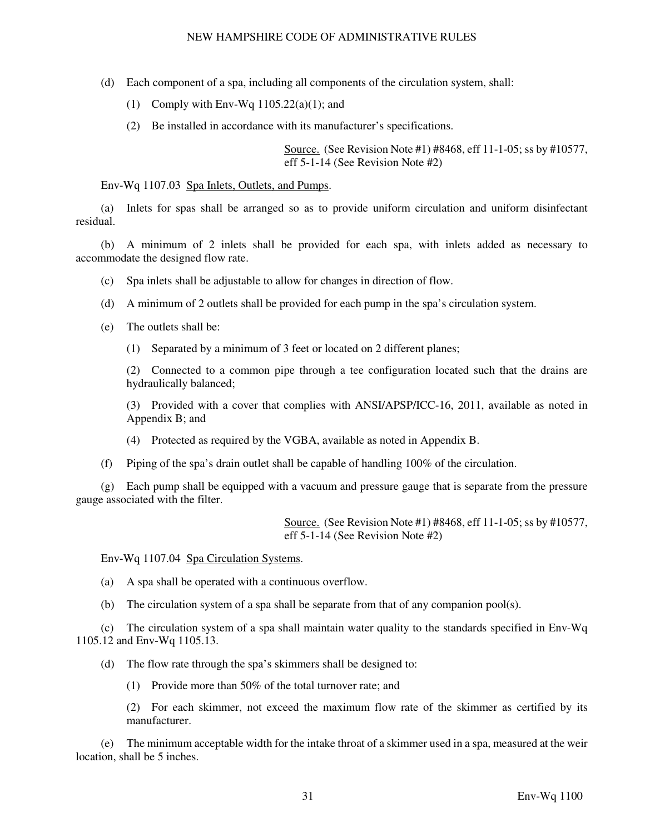- (d) Each component of a spa, including all components of the circulation system, shall:
	- (1) Comply with Env-Wq  $1105.22(a)(1)$ ; and
	- (2) Be installed in accordance with its manufacturer's specifications.

Source. (See Revision Note #1) #8468, eff 11-1-05; ss by #10577, eff 5-1-14 (See Revision Note #2)

### Env-Wq 1107.03 Spa Inlets, Outlets, and Pumps.

 (a) Inlets for spas shall be arranged so as to provide uniform circulation and uniform disinfectant residual.

 (b) A minimum of 2 inlets shall be provided for each spa, with inlets added as necessary to accommodate the designed flow rate.

- (c) Spa inlets shall be adjustable to allow for changes in direction of flow.
- (d) A minimum of 2 outlets shall be provided for each pump in the spa's circulation system.
- (e) The outlets shall be:
	- (1) Separated by a minimum of 3 feet or located on 2 different planes;

(2) Connected to a common pipe through a tee configuration located such that the drains are hydraulically balanced;

(3) Provided with a cover that complies with ANSI/APSP/ICC-16, 2011, available as noted in Appendix B; and

- (4) Protected as required by the VGBA, available as noted in Appendix B.
- (f) Piping of the spa's drain outlet shall be capable of handling 100% of the circulation.

 (g) Each pump shall be equipped with a vacuum and pressure gauge that is separate from the pressure gauge associated with the filter.

> Source. (See Revision Note #1) #8468, eff 11-1-05; ss by #10577, eff 5-1-14 (See Revision Note #2)

Env-Wq 1107.04 Spa Circulation Systems.

- (a) A spa shall be operated with a continuous overflow.
- (b) The circulation system of a spa shall be separate from that of any companion pool(s).

 (c) The circulation system of a spa shall maintain water quality to the standards specified in Env-Wq 1105.12 and Env-Wq 1105.13.

(d) The flow rate through the spa's skimmers shall be designed to:

(1) Provide more than 50% of the total turnover rate; and

(2) For each skimmer, not exceed the maximum flow rate of the skimmer as certified by its manufacturer.

 (e) The minimum acceptable width for the intake throat of a skimmer used in a spa, measured at the weir location, shall be 5 inches.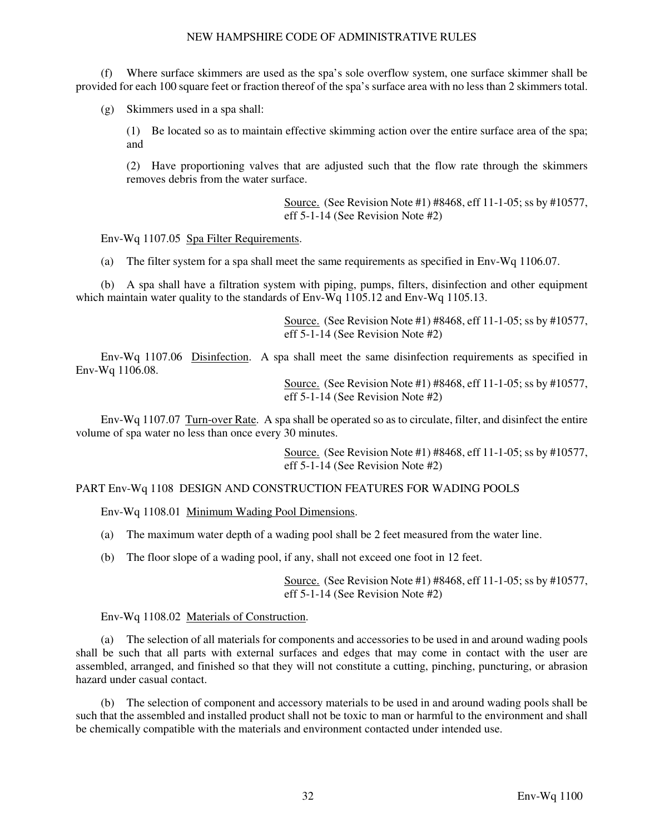(f) Where surface skimmers are used as the spa's sole overflow system, one surface skimmer shall be provided for each 100 square feet or fraction thereof of the spa's surface area with no less than 2 skimmers total.

(g) Skimmers used in a spa shall:

(1) Be located so as to maintain effective skimming action over the entire surface area of the spa; and

(2) Have proportioning valves that are adjusted such that the flow rate through the skimmers removes debris from the water surface.

> Source. (See Revision Note #1) #8468, eff 11-1-05; ss by #10577, eff 5-1-14 (See Revision Note #2)

Env-Wq 1107.05 Spa Filter Requirements.

(a) The filter system for a spa shall meet the same requirements as specified in Env-Wq 1106.07.

 (b) A spa shall have a filtration system with piping, pumps, filters, disinfection and other equipment which maintain water quality to the standards of Env-Wq 1105.12 and Env-Wq 1105.13.

> Source. (See Revision Note #1) #8468, eff 11-1-05; ss by #10577, eff 5-1-14 (See Revision Note #2)

 Env-Wq 1107.06 Disinfection. A spa shall meet the same disinfection requirements as specified in Env-Wq 1106.08.

> Source. (See Revision Note #1) #8468, eff 11-1-05; ss by #10577, eff 5-1-14 (See Revision Note #2)

 Env-Wq 1107.07 Turn-over Rate. A spa shall be operated so as to circulate, filter, and disinfect the entire volume of spa water no less than once every 30 minutes.

> Source. (See Revision Note #1) #8468, eff 11-1-05; ss by #10577, eff 5-1-14 (See Revision Note #2)

#### PART Env-Wq 1108 DESIGN AND CONSTRUCTION FEATURES FOR WADING POOLS

Env-Wq 1108.01 Minimum Wading Pool Dimensions.

- (a) The maximum water depth of a wading pool shall be 2 feet measured from the water line.
- (b) The floor slope of a wading pool, if any, shall not exceed one foot in 12 feet.

Source. (See Revision Note #1) #8468, eff 11-1-05; ss by #10577, eff 5-1-14 (See Revision Note #2)

Env-Wq 1108.02 Materials of Construction.

 (a) The selection of all materials for components and accessories to be used in and around wading pools shall be such that all parts with external surfaces and edges that may come in contact with the user are assembled, arranged, and finished so that they will not constitute a cutting, pinching, puncturing, or abrasion hazard under casual contact.

 (b) The selection of component and accessory materials to be used in and around wading pools shall be such that the assembled and installed product shall not be toxic to man or harmful to the environment and shall be chemically compatible with the materials and environment contacted under intended use.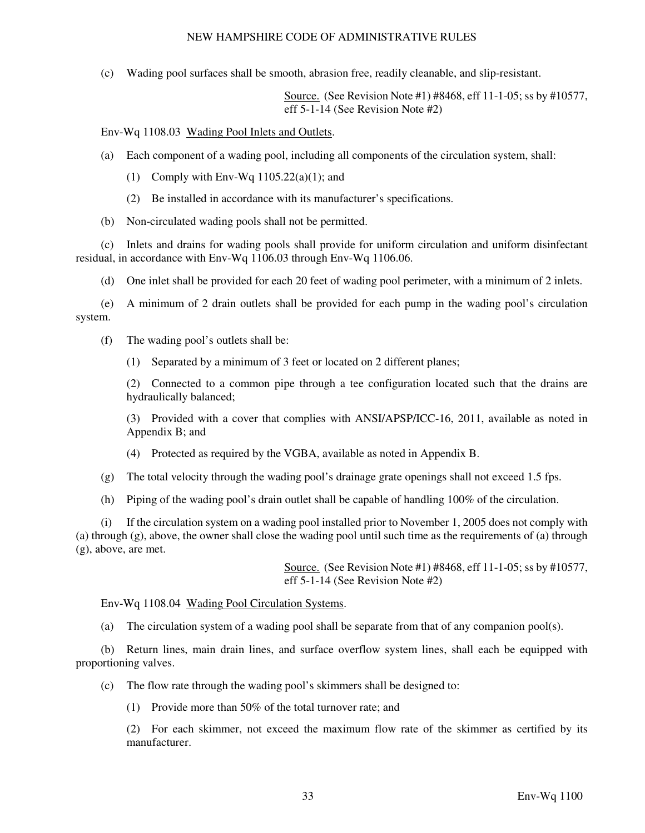(c) Wading pool surfaces shall be smooth, abrasion free, readily cleanable, and slip-resistant.

Source. (See Revision Note #1) #8468, eff 11-1-05; ss by #10577, eff 5-1-14 (See Revision Note #2)

Env-Wq 1108.03 Wading Pool Inlets and Outlets.

- (a) Each component of a wading pool, including all components of the circulation system, shall:
	- (1) Comply with Env-Wq  $1105.22(a)(1)$ ; and
	- (2) Be installed in accordance with its manufacturer's specifications.
- (b) Non-circulated wading pools shall not be permitted.

 (c) Inlets and drains for wading pools shall provide for uniform circulation and uniform disinfectant residual, in accordance with Env-Wq 1106.03 through Env-Wq 1106.06.

(d) One inlet shall be provided for each 20 feet of wading pool perimeter, with a minimum of 2 inlets.

 (e) A minimum of 2 drain outlets shall be provided for each pump in the wading pool's circulation system.

- (f) The wading pool's outlets shall be:
	- (1) Separated by a minimum of 3 feet or located on 2 different planes;

(2) Connected to a common pipe through a tee configuration located such that the drains are hydraulically balanced;

(3) Provided with a cover that complies with ANSI/APSP/ICC-16, 2011, available as noted in Appendix B; and

- (4) Protected as required by the VGBA, available as noted in Appendix B.
- (g) The total velocity through the wading pool's drainage grate openings shall not exceed 1.5 fps.
- (h) Piping of the wading pool's drain outlet shall be capable of handling 100% of the circulation.

 (i) If the circulation system on a wading pool installed prior to November 1, 2005 does not comply with (a) through (g), above, the owner shall close the wading pool until such time as the requirements of (a) through (g), above, are met.

> Source. (See Revision Note #1) #8468, eff 11-1-05; ss by #10577, eff 5-1-14 (See Revision Note #2)

Env-Wq 1108.04 Wading Pool Circulation Systems.

(a) The circulation system of a wading pool shall be separate from that of any companion pool(s).

 (b) Return lines, main drain lines, and surface overflow system lines, shall each be equipped with proportioning valves.

(c) The flow rate through the wading pool's skimmers shall be designed to:

(1) Provide more than 50% of the total turnover rate; and

(2) For each skimmer, not exceed the maximum flow rate of the skimmer as certified by its manufacturer.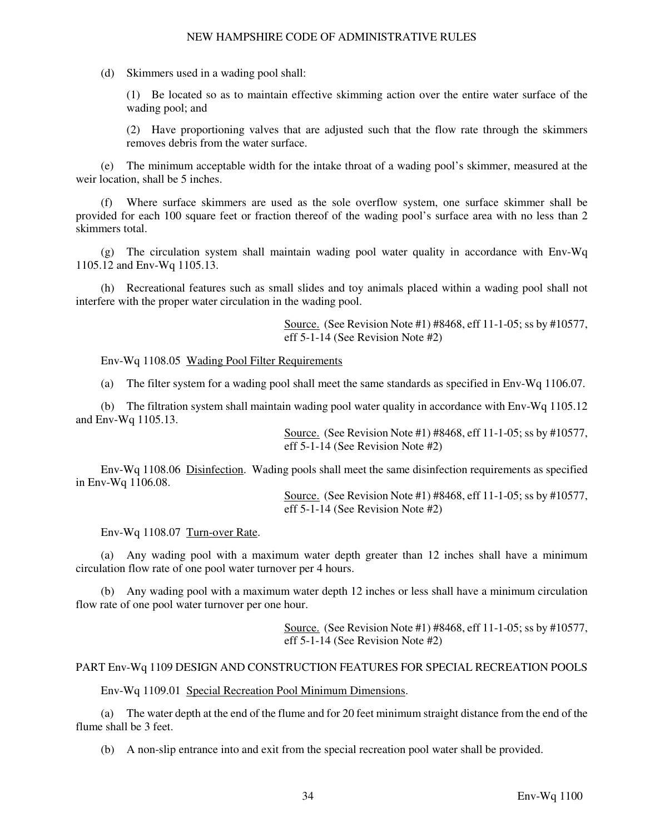(d) Skimmers used in a wading pool shall:

(1) Be located so as to maintain effective skimming action over the entire water surface of the wading pool; and

(2) Have proportioning valves that are adjusted such that the flow rate through the skimmers removes debris from the water surface.

 (e) The minimum acceptable width for the intake throat of a wading pool's skimmer, measured at the weir location, shall be 5 inches.

 (f) Where surface skimmers are used as the sole overflow system, one surface skimmer shall be provided for each 100 square feet or fraction thereof of the wading pool's surface area with no less than 2 skimmers total.

 (g) The circulation system shall maintain wading pool water quality in accordance with Env-Wq 1105.12 and Env-Wq 1105.13.

 (h) Recreational features such as small slides and toy animals placed within a wading pool shall not interfere with the proper water circulation in the wading pool.

> Source. (See Revision Note #1) #8468, eff 11-1-05; ss by #10577, eff 5-1-14 (See Revision Note #2)

Env-Wq 1108.05 Wading Pool Filter Requirements

(a) The filter system for a wading pool shall meet the same standards as specified in Env-Wq 1106.07.

 (b) The filtration system shall maintain wading pool water quality in accordance with Env-Wq 1105.12 and Env-Wq 1105.13.

> Source. (See Revision Note #1) #8468, eff 11-1-05; ss by #10577, eff 5-1-14 (See Revision Note #2)

 Env-Wq 1108.06 Disinfection. Wading pools shall meet the same disinfection requirements as specified in Env-Wq 1106.08.

> Source. (See Revision Note #1) #8468, eff 11-1-05; ss by #10577, eff 5-1-14 (See Revision Note #2)

Env-Wq 1108.07 Turn-over Rate.

 (a) Any wading pool with a maximum water depth greater than 12 inches shall have a minimum circulation flow rate of one pool water turnover per 4 hours.

 (b) Any wading pool with a maximum water depth 12 inches or less shall have a minimum circulation flow rate of one pool water turnover per one hour.

> Source. (See Revision Note #1) #8468, eff 11-1-05; ss by #10577, eff 5-1-14 (See Revision Note #2)

# PART Env-Wq 1109 DESIGN AND CONSTRUCTION FEATURES FOR SPECIAL RECREATION POOLS

Env-Wq 1109.01 Special Recreation Pool Minimum Dimensions.

 (a) The water depth at the end of the flume and for 20 feet minimum straight distance from the end of the flume shall be 3 feet.

(b) A non-slip entrance into and exit from the special recreation pool water shall be provided.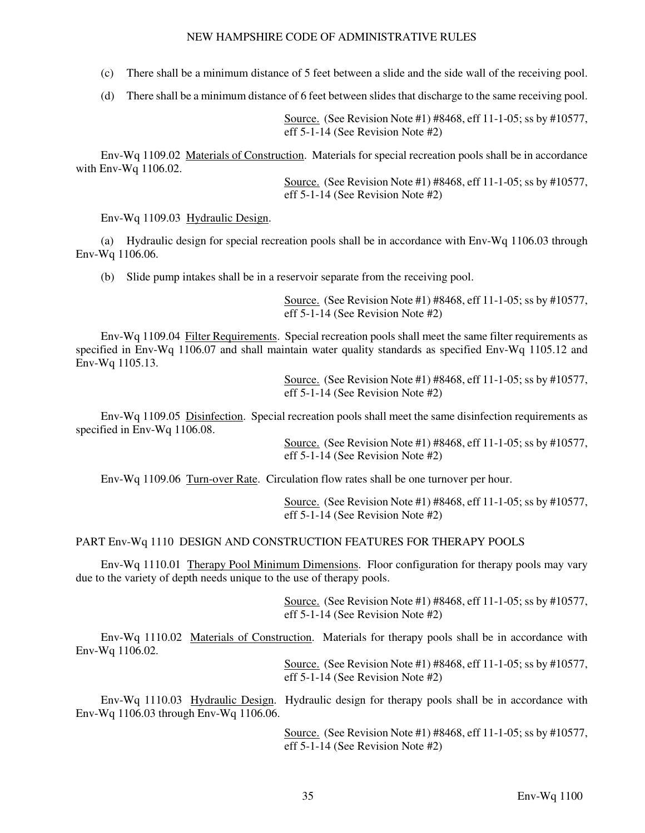(c) There shall be a minimum distance of 5 feet between a slide and the side wall of the receiving pool.

(d) There shall be a minimum distance of 6 feet between slides that discharge to the same receiving pool.

Source. (See Revision Note #1) #8468, eff 11-1-05; ss by #10577, eff 5-1-14 (See Revision Note #2)

 Env-Wq 1109.02 Materials of Construction. Materials for special recreation pools shall be in accordance with Env-Wq 1106.02.

> Source. (See Revision Note #1) #8468, eff 11-1-05; ss by #10577, eff 5-1-14 (See Revision Note #2)

Env-Wq 1109.03 Hydraulic Design.

 (a) Hydraulic design for special recreation pools shall be in accordance with Env-Wq 1106.03 through Env-Wq 1106.06.

(b) Slide pump intakes shall be in a reservoir separate from the receiving pool.

Source. (See Revision Note #1) #8468, eff 11-1-05; ss by #10577, eff 5-1-14 (See Revision Note #2)

 Env-Wq 1109.04 Filter Requirements. Special recreation pools shall meet the same filter requirements as specified in Env-Wq 1106.07 and shall maintain water quality standards as specified Env-Wq 1105.12 and Env-Wq 1105.13.

> Source. (See Revision Note #1) #8468, eff 11-1-05; ss by #10577, eff 5-1-14 (See Revision Note #2)

 Env-Wq 1109.05 Disinfection. Special recreation pools shall meet the same disinfection requirements as specified in Env-Wq 1106.08.

> Source. (See Revision Note #1) #8468, eff 11-1-05; ss by #10577, eff 5-1-14 (See Revision Note #2)

Env-Wq 1109.06 Turn-over Rate. Circulation flow rates shall be one turnover per hour.

Source. (See Revision Note #1) #8468, eff 11-1-05; ss by #10577, eff 5-1-14 (See Revision Note #2)

#### PART Env-Wq 1110 DESIGN AND CONSTRUCTION FEATURES FOR THERAPY POOLS

Env-Wq 1110.01 Therapy Pool Minimum Dimensions. Floor configuration for therapy pools may vary due to the variety of depth needs unique to the use of therapy pools.

> Source. (See Revision Note #1) #8468, eff 11-1-05; ss by #10577, eff 5-1-14 (See Revision Note #2)

 Env-Wq 1110.02 Materials of Construction. Materials for therapy pools shall be in accordance with Env-Wq 1106.02.

> Source. (See Revision Note #1) #8468, eff 11-1-05; ss by #10577, eff 5-1-14 (See Revision Note #2)

Env-Wq 1110.03 Hydraulic Design. Hydraulic design for therapy pools shall be in accordance with Env-Wq 1106.03 through Env-Wq 1106.06.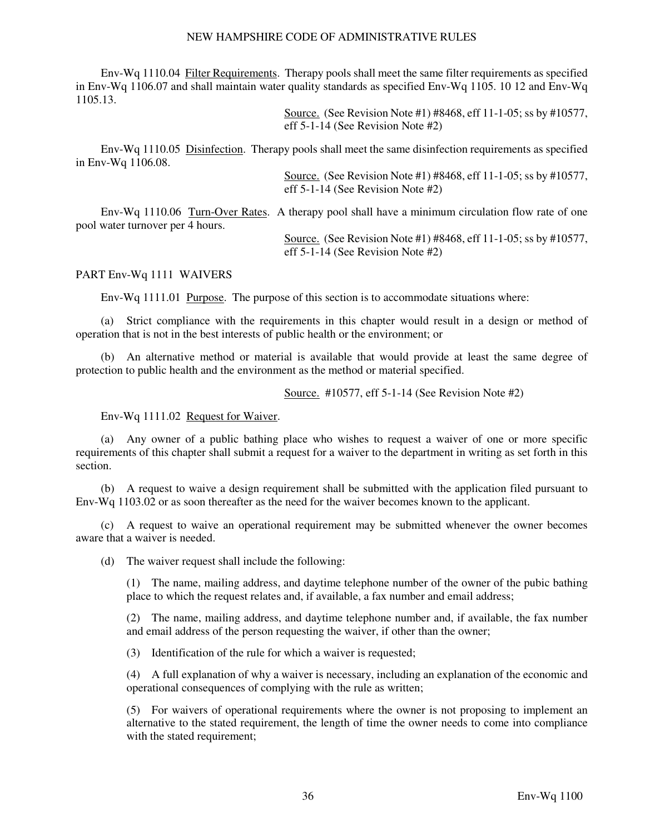Env-Wq 1110.04 Filter Requirements. Therapy pools shall meet the same filter requirements as specified in Env-Wq 1106.07 and shall maintain water quality standards as specified Env-Wq 1105. 10 12 and Env-Wq 1105.13.

> Source. (See Revision Note #1) #8468, eff 11-1-05; ss by #10577, eff 5-1-14 (See Revision Note #2)

 Env-Wq 1110.05 Disinfection. Therapy pools shall meet the same disinfection requirements as specified in Env-Wq 1106.08.

> Source. (See Revision Note #1) #8468, eff 11-1-05; ss by #10577, eff 5-1-14 (See Revision Note #2)

 Env-Wq 1110.06 Turn-Over Rates. A therapy pool shall have a minimum circulation flow rate of one pool water turnover per 4 hours.

> Source. (See Revision Note #1) #8468, eff 11-1-05; ss by #10577, eff 5-1-14 (See Revision Note #2)

#### PART Env-Wq 1111 WAIVERS

Env-Wq 1111.01 Purpose. The purpose of this section is to accommodate situations where:

 (a) Strict compliance with the requirements in this chapter would result in a design or method of operation that is not in the best interests of public health or the environment; or

 (b) An alternative method or material is available that would provide at least the same degree of protection to public health and the environment as the method or material specified.

Source. #10577, eff 5-1-14 (See Revision Note #2)

#### Env-Wq 1111.02 Request for Waiver.

 (a) Any owner of a public bathing place who wishes to request a waiver of one or more specific requirements of this chapter shall submit a request for a waiver to the department in writing as set forth in this section.

 (b) A request to waive a design requirement shall be submitted with the application filed pursuant to Env-Wq 1103.02 or as soon thereafter as the need for the waiver becomes known to the applicant.

 (c) A request to waive an operational requirement may be submitted whenever the owner becomes aware that a waiver is needed.

(d) The waiver request shall include the following:

(1) The name, mailing address, and daytime telephone number of the owner of the pubic bathing place to which the request relates and, if available, a fax number and email address;

(2) The name, mailing address, and daytime telephone number and, if available, the fax number and email address of the person requesting the waiver, if other than the owner;

(3) Identification of the rule for which a waiver is requested;

(4) A full explanation of why a waiver is necessary, including an explanation of the economic and operational consequences of complying with the rule as written;

(5) For waivers of operational requirements where the owner is not proposing to implement an alternative to the stated requirement, the length of time the owner needs to come into compliance with the stated requirement;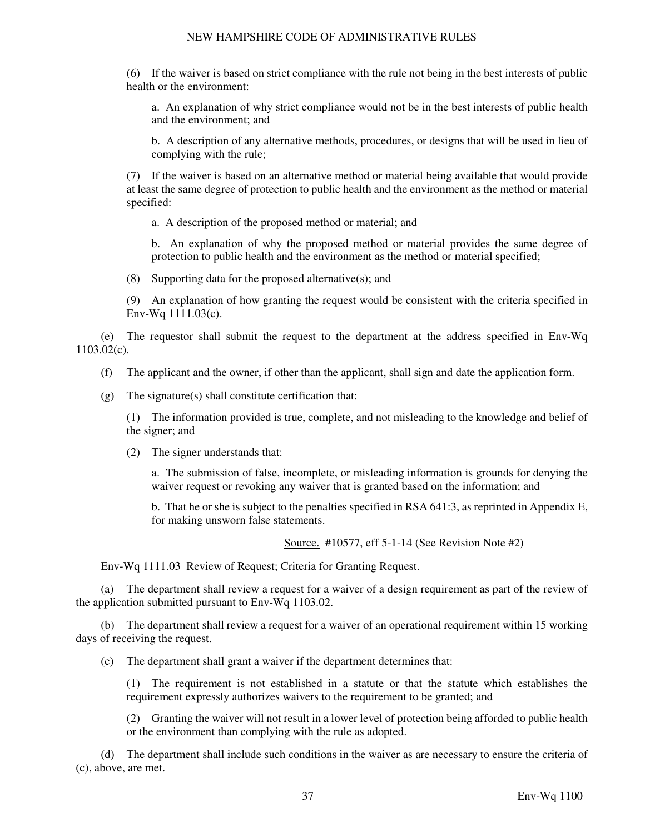(6) If the waiver is based on strict compliance with the rule not being in the best interests of public health or the environment:

a. An explanation of why strict compliance would not be in the best interests of public health and the environment; and

b. A description of any alternative methods, procedures, or designs that will be used in lieu of complying with the rule;

(7) If the waiver is based on an alternative method or material being available that would provide at least the same degree of protection to public health and the environment as the method or material specified:

a. A description of the proposed method or material; and

b. An explanation of why the proposed method or material provides the same degree of protection to public health and the environment as the method or material specified;

(8) Supporting data for the proposed alternative(s); and

(9) An explanation of how granting the request would be consistent with the criteria specified in Env-Wq 1111.03(c).

 (e) The requestor shall submit the request to the department at the address specified in Env-Wq 1103.02(c).

(f) The applicant and the owner, if other than the applicant, shall sign and date the application form.

 $(g)$  The signature(s) shall constitute certification that:

(1) The information provided is true, complete, and not misleading to the knowledge and belief of the signer; and

(2) The signer understands that:

a. The submission of false, incomplete, or misleading information is grounds for denying the waiver request or revoking any waiver that is granted based on the information; and

b. That he or she is subject to the penalties specified in RSA 641:3, as reprinted in Appendix E, for making unsworn false statements.

Source. #10577, eff 5-1-14 (See Revision Note #2)

Env-Wq 1111.03 Review of Request; Criteria for Granting Request.

 (a) The department shall review a request for a waiver of a design requirement as part of the review of the application submitted pursuant to Env-Wq 1103.02.

 (b) The department shall review a request for a waiver of an operational requirement within 15 working days of receiving the request.

(c) The department shall grant a waiver if the department determines that:

(1) The requirement is not established in a statute or that the statute which establishes the requirement expressly authorizes waivers to the requirement to be granted; and

(2) Granting the waiver will not result in a lower level of protection being afforded to public health or the environment than complying with the rule as adopted.

 (d) The department shall include such conditions in the waiver as are necessary to ensure the criteria of (c), above, are met.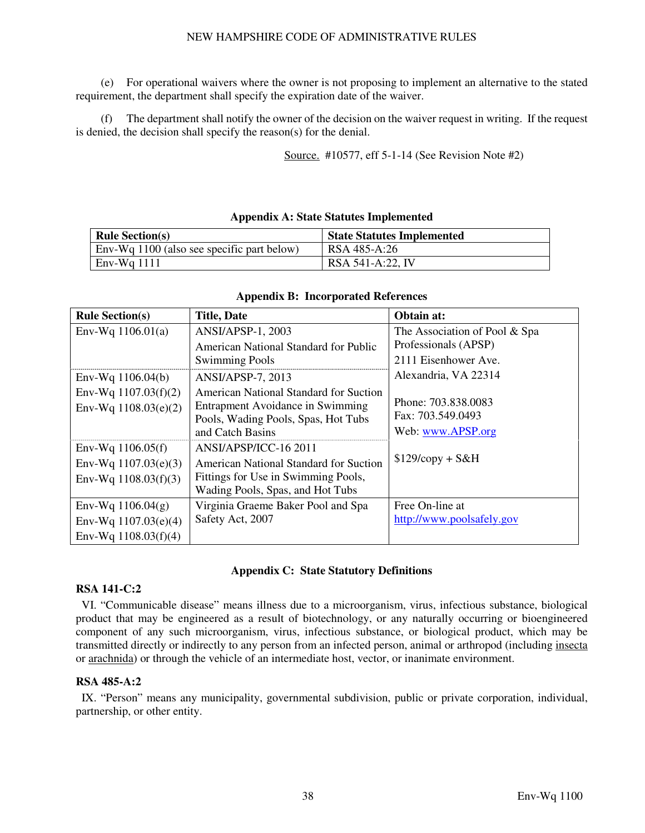(e) For operational waivers where the owner is not proposing to implement an alternative to the stated requirement, the department shall specify the expiration date of the waiver.

 (f) The department shall notify the owner of the decision on the waiver request in writing. If the request is denied, the decision shall specify the reason(s) for the denial.

Source. #10577, eff 5-1-14 (See Revision Note #2)

# **Appendix A: State Statutes Implemented**

| <b>Rule Section(s)</b>                     | <b>State Statutes Implemented</b> |
|--------------------------------------------|-----------------------------------|
| Env-Wq 1100 (also see specific part below) | RSA 485-A:26                      |
| $Env-Wq$ 1111                              | RSA 541-A:22. IV                  |

| <b>Rule Section(s)</b>                           | <b>Title, Date</b>                                                                                                                    | Obtain at:                                                    |
|--------------------------------------------------|---------------------------------------------------------------------------------------------------------------------------------------|---------------------------------------------------------------|
| Env-Wq $1106.01(a)$                              | ANSI/APSP-1, 2003                                                                                                                     | The Association of Pool & Spa                                 |
|                                                  | American National Standard for Public                                                                                                 | Professionals (APSP)                                          |
|                                                  | <b>Swimming Pools</b>                                                                                                                 | 2111 Eisenhower Ave.                                          |
| Env-Wq $1106.04(b)$                              | ANSI/APSP-7, 2013                                                                                                                     | Alexandria, VA 22314                                          |
| Env-Wq $1107.03(f)(2)$<br>Env-Wq $1108.03(e)(2)$ | American National Standard for Suction<br>Entrapment Avoidance in Swimming<br>Pools, Wading Pools, Spas, Hot Tubs<br>and Catch Basins | Phone: 703.838.0083<br>Fax: 703.549.0493<br>Web: www.APSP.org |
| Env-Wq $1106.05(f)$                              | ANSI/APSP/ICC-16 2011                                                                                                                 |                                                               |
| Env-Wq $1107.03(e)(3)$                           | <b>American National Standard for Suction</b>                                                                                         | $$129/copy + S&H$                                             |
| Env-Wq $1108.03(f)(3)$                           | Fittings for Use in Swimming Pools,<br>Wading Pools, Spas, and Hot Tubs                                                               |                                                               |
| Env-Wq $1106.04(g)$                              | Virginia Graeme Baker Pool and Spa                                                                                                    | Free On-line at                                               |
| Env-Wq $1107.03(e)(4)$                           | Safety Act, 2007                                                                                                                      | http://www.poolsafely.gov                                     |
| Env-Wq $1108.03(f)(4)$                           |                                                                                                                                       |                                                               |

#### **Appendix B: Incorporated References**

#### **Appendix C: State Statutory Definitions**

#### **RSA 141-C:2**

 VI. "Communicable disease" means illness due to a microorganism, virus, infectious substance, biological product that may be engineered as a result of biotechnology, or any naturally occurring or bioengineered component of any such microorganism, virus, infectious substance, or biological product, which may be transmitted directly or indirectly to any person from an infected person, animal or arthropod (including insecta or arachnida) or through the vehicle of an intermediate host, vector, or inanimate environment.

#### **RSA 485-A:2**

 IX. "Person" means any municipality, governmental subdivision, public or private corporation, individual, partnership, or other entity.